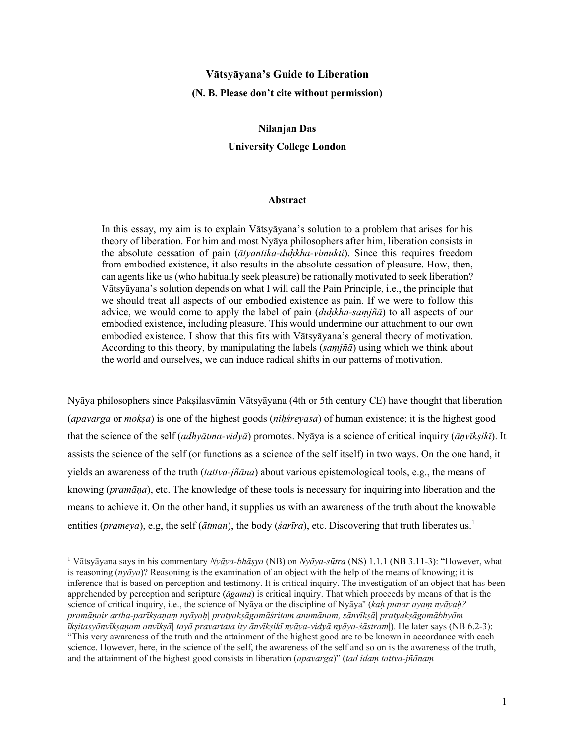# **Vātsyāyana's Guide to Liberation (N. B. Please don't cite without permission)**

# **Nilanjan Das University College London**

#### **Abstract**

In this essay, my aim is to explain Vātsyāyana's solution to a problem that arises for his theory of liberation. For him and most Nyāya philosophers after him, liberation consists in the absolute cessation of pain (*ātyantika-duḥkha-vimukti*). Since this requires freedom from embodied existence, it also results in the absolute cessation of pleasure. How, then, can agents like us (who habitually seek pleasure) be rationally motivated to seek liberation? Vātsyāyana's solution depends on what I will call the Pain Principle, i.e., the principle that we should treat all aspects of our embodied existence as pain. If we were to follow this advice, we would come to apply the label of pain (*duḥkha-saṃjñā*) to all aspects of our embodied existence, including pleasure. This would undermine our attachment to our own embodied existence. I show that this fits with Vātsyāyana's general theory of motivation. According to this theory, by manipulating the labels (*saṃjñā*) using which we think about the world and ourselves, we can induce radical shifts in our patterns of motivation.

Nyāya philosophers since Pakṣilasvāmin Vātsyāyana (4th or 5th century CE) have thought that liberation (*apavarga* or *mokṣa*) is one of the highest goods (*niḥśreyasa*) of human existence; it is the highest good that the science of the self (*adhyātma-vidyā*) promotes. Nyāya is a science of critical inquiry (*āṇvīkṣikī*). It assists the science of the self (or functions as a science of the self itself) in two ways. On the one hand, it yields an awareness of the truth (*tattva-jñāna*) about various epistemological tools, e.g., the means of knowing (*pramāṇa*), etc. The knowledge of these tools is necessary for inquiring into liberation and the means to achieve it. On the other hand, it supplies us with an awareness of the truth about the knowable entities (*prameya*), e.g, the self (*ātman*), the body (*śarīra*), etc. Discovering that truth liberates us.<sup>1</sup>

<sup>1</sup> Vātsyāyana says in his commentary *Nyāya-bhāṣya* (NB) on *Nyāya-sūtra* (NS) 1.1.1 (NB 3.11-3): "However, what is reasoning (*nyāya*)? Reasoning is the examination of an object with the help of the means of knowing; it is inference that is based on perception and testimony. It is critical inquiry. The investigation of an object that has been apprehended by perception and scripture (*āgama*) is critical inquiry. That which proceeds by means of that is the science of critical inquiry, i.e., the science of Nyāya or the discipline of Nyāya'' (*kaḥ punar ayaṃ nyāyaḥ? pramāṇair artha-parīkṣaṇaṃ nyāyaḥ| pratyakṣāgamāśritam anumānam, sānvīkṣā| pratyakṣāgamābhyām īkṣitasyānvīkṣaṇam anvīkṣā| tayā pravartata ity ānvīkṣikī nyāya-vidyā nyāya-śāstram*|). He later says (NB 6.2-3): "This very awareness of the truth and the attainment of the highest good are to be known in accordance with each science. However, here, in the science of the self, the awareness of the self and so on is the awareness of the truth, and the attainment of the highest good consists in liberation (*apavarga*)" (*tad idaṃ tattva-jñānaṃ*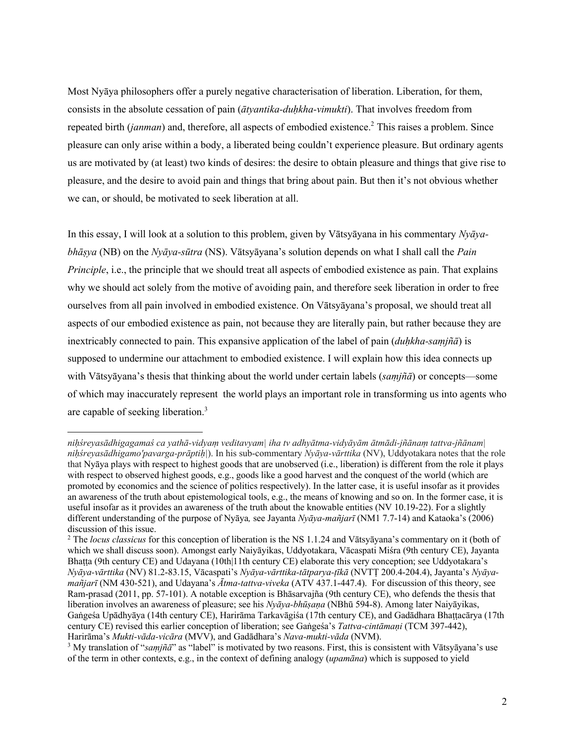Most Nyāya philosophers offer a purely negative characterisation of liberation. Liberation, for them, consists in the absolute cessation of pain (*ātyantika-duḥkha-vimukti*). That involves freedom from repeated birth *(janman)* and, therefore, all aspects of embodied existence.<sup>2</sup> This raises a problem. Since pleasure can only arise within a body, a liberated being couldn't experience pleasure. But ordinary agents us are motivated by (at least) two kinds of desires: the desire to obtain pleasure and things that give rise to pleasure, and the desire to avoid pain and things that bring about pain. But then it's not obvious whether we can, or should, be motivated to seek liberation at all.

In this essay, I will look at a solution to this problem, given by Vātsyāyana in his commentary *Nyāyabhāṣya* (NB) on the *Nyāya-sūtra* (NS). Vātsyāyana's solution depends on what I shall call the *Pain Principle*, i.e., the principle that we should treat all aspects of embodied existence as pain. That explains why we should act solely from the motive of avoiding pain, and therefore seek liberation in order to free ourselves from all pain involved in embodied existence. On Vātsyāyana's proposal, we should treat all aspects of our embodied existence as pain, not because they are literally pain, but rather because they are inextricably connected to pain. This expansive application of the label of pain (*duḥkha-saṃjñā*) is supposed to undermine our attachment to embodied existence. I will explain how this idea connects up with Vātsyāyana's thesis that thinking about the world under certain labels (*saṃjñā*) or concepts—some of which may inaccurately represent the world plays an important role in transforming us into agents who are capable of seeking liberation.3

*niḥśreyasādhigagamaś ca yathā-vidyaṃ veditavyam| iha tv adhyātma-vidyāyām ātmādi-jñānaṃ tattva-jñānam| niḥśreyasādhigamo'pavarga-prāptiḥ|*). In his sub-commentary *Nyāya-vārttika* (NV), Uddyotakara notes that the role that Nyāya plays with respect to highest goods that are unobserved (i.e., liberation) is different from the role it plays with respect to observed highest goods, e.g., goods like a good harvest and the conquest of the world (which are promoted by economics and the science of politics respectively). In the latter case, it is useful insofar as it provides an awareness of the truth about epistemological tools, e.g., the means of knowing and so on. In the former case, it is useful insofar as it provides an awareness of the truth about the knowable entities (NV 10.19-22). For a slightly different understanding of the purpose of Nyāya*,* see Jayanta *Nyāya-mañjarī* (NM1 7.7-14) and Kataoka's (2006) discussion of this issue.

<sup>2</sup> The *locus classicus* for this conception of liberation is the NS 1.1.24 and Vātsyāyana's commentary on it (both of which we shall discuss soon). Amongst early Naiyāyikas, Uddyotakara, Vācaspati Miśra (9th century CE), Jayanta Bhaṭṭa (9th century CE) and Udayana (10th|11th century CE) elaborate this very conception; see Uddyotakara's *Nyāya-vārttika* (NV) 81.2-83.15, Vācaspati's *Nyāya-vārttika-tātparya-ṭīkā* (NVTṬ 200.4-204.4), Jayanta's *Nyāyamañjarī* (NM 430-521), and Udayana's *Ātma-tattva-viveka* (ATV 437.1-447.4). For discussion of this theory, see Ram-prasad (2011, pp. 57-101). A notable exception is Bhāsarvajña (9th century CE), who defends the thesis that liberation involves an awareness of pleasure; see his *Nyāya-bhūṣaṇa* (NBhū 594-8). Among later Naiyāyikas, Gaṅgeśa Upādhyāya (14th century CE), Harirāma Tarkavāgiśa (17th century CE), and Gadādhara Bhattacārya (17th century CE) revised this earlier conception of liberation; see Gaṅgeśa's *Tattva-cintāmaṇi* (TCM 397-442), Harirāma's *Mukti-vāda-vicāra* (MVV), and Gadādhara's *Nava-mukti-vāda* (NVM).

<sup>3</sup> My translation of "*saṃjñā*" as "label" is motivated by two reasons. First, this is consistent with Vātsyāyana's use of the term in other contexts, e.g., in the context of defining analogy (*upamāna*) which is supposed to yield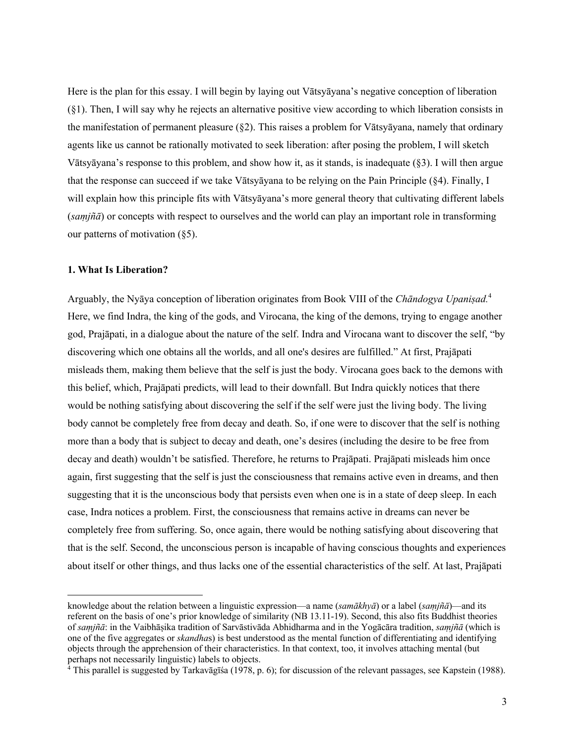Here is the plan for this essay. I will begin by laying out Vātsyāyana's negative conception of liberation (§1). Then, I will say why he rejects an alternative positive view according to which liberation consists in the manifestation of permanent pleasure (§2). This raises a problem for Vātsyāyana, namely that ordinary agents like us cannot be rationally motivated to seek liberation: after posing the problem, I will sketch Vātsyāyana's response to this problem, and show how it, as it stands, is inadequate (§3). I will then argue that the response can succeed if we take Vātsyāyana to be relying on the Pain Principle (§4). Finally, I will explain how this principle fits with Vātsyāyana's more general theory that cultivating different labels (*saṃjñā*) or concepts with respect to ourselves and the world can play an important role in transforming our patterns of motivation  $(\S 5)$ .

#### **1. What Is Liberation?**

Arguably, the Nyāya conception of liberation originates from Book VIII of the *Chāndogya Upaniṣad.*<sup>4</sup> Here, we find Indra, the king of the gods, and Virocana, the king of the demons, trying to engage another god, Prajāpati, in a dialogue about the nature of the self. Indra and Virocana want to discover the self, "by discovering which one obtains all the worlds, and all one's desires are fulfilled." At first, Prajāpati misleads them, making them believe that the self is just the body. Virocana goes back to the demons with this belief, which, Prajāpati predicts, will lead to their downfall. But Indra quickly notices that there would be nothing satisfying about discovering the self if the self were just the living body. The living body cannot be completely free from decay and death. So, if one were to discover that the self is nothing more than a body that is subject to decay and death, one's desires (including the desire to be free from decay and death) wouldn't be satisfied. Therefore, he returns to Prajāpati. Prajāpati misleads him once again, first suggesting that the self is just the consciousness that remains active even in dreams, and then suggesting that it is the unconscious body that persists even when one is in a state of deep sleep. In each case, Indra notices a problem. First, the consciousness that remains active in dreams can never be completely free from suffering. So, once again, there would be nothing satisfying about discovering that that is the self. Second, the unconscious person is incapable of having conscious thoughts and experiences about itself or other things, and thus lacks one of the essential characteristics of the self. At last, Prajāpati

knowledge about the relation between a linguistic expression—a name (*samākhyā*) or a label (*saṃjñā*)—and its referent on the basis of one's prior knowledge of similarity (NB 13.11-19). Second, this also fits Buddhist theories of *saṃjñā*: in the Vaibhāṣika tradition of Sarvāstivāda Abhidharma and in the Yogācāra tradition, *saṃjñā* (which is one of the five aggregates or *skandha*s) is best understood as the mental function of differentiating and identifying objects through the apprehension of their characteristics. In that context, too, it involves attaching mental (but perhaps not necessarily linguistic) labels to objects.

<sup>&</sup>lt;sup>4</sup> This parallel is suggested by Tarkavāgīśa (1978, p. 6); for discussion of the relevant passages, see Kapstein (1988).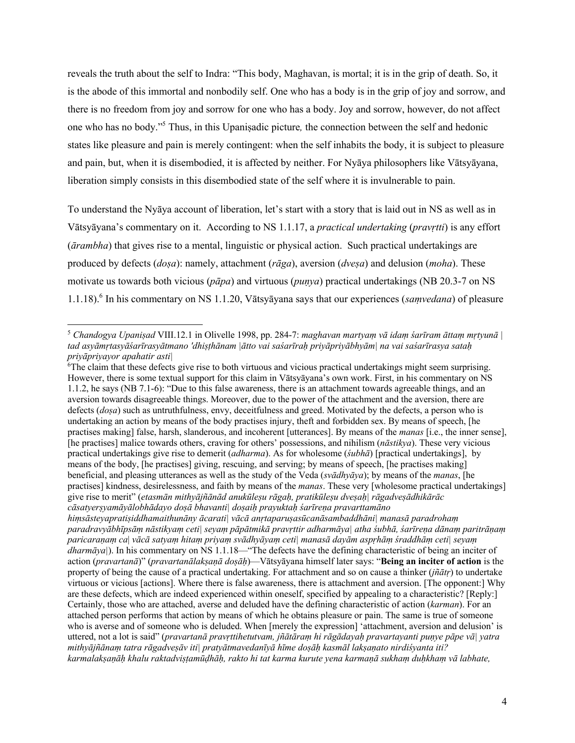reveals the truth about the self to Indra: "This body, Maghavan, is mortal; it is in the grip of death. So, it is the abode of this immortal and nonbodily self. One who has a body is in the grip of joy and sorrow, and there is no freedom from joy and sorrow for one who has a body. Joy and sorrow, however, do not affect one who has no body."5 Thus, in this Upaniṣadic picture*,* the connection between the self and hedonic states like pleasure and pain is merely contingent: when the self inhabits the body, it is subject to pleasure and pain, but, when it is disembodied, it is affected by neither. For Nyāya philosophers like Vātsyāyana, liberation simply consists in this disembodied state of the self where it is invulnerable to pain.

To understand the Nyāya account of liberation, let's start with a story that is laid out in NS as well as in Vātsyāyana's commentary on it. According to NS 1.1.17, a *practical undertaking* (*pravṛtti*) is any effort (*ārambha*) that gives rise to a mental, linguistic or physical action. Such practical undertakings are produced by defects (*doṣa*): namely, attachment (*rāga*), aversion (*dveṣa*) and delusion (*moha*). These motivate us towards both vicious (*pāpa*) and virtuous (*puṇya*) practical undertakings (NB 20.3-7 on NS 1.1.18).6 In his commentary on NS 1.1.20, Vātsyāyana says that our experiences (*saṃvedana*) of pleasure

*hiṃsāsteyapratiṣiddhamaithunāny ācarati| vācā anṛtaparuṣasūcanāsambaddhāni| manasā paradrohaṃ paradravyābhīpsāṃ nāstikyaṃ ceti| seyaṃ pāpātmikā pravṛttir adharmāya| atha śubhā, śarīreṇa dānaṃ paritrāṇaṃ paricaraṇaṃ ca*| *vācā satyaṃ hitaṃ priyaṃ svādhyāyaṃ ceti| manasā dayām aspṛhāṃ śraddhāṃ ceti| seyaṃ dharmāya|*). In his commentary on NS 1.1.18—"The defects have the defining characteristic of being an inciter of action (*pravartanā*)" (*pravartanālakṣaṇā doṣāḥ*)—Vātsyāyana himself later says: "**Being an inciter of action** is the property of being the cause of a practical undertaking. For attachment and so on cause a thinker (*jñātṛ*) to undertake virtuous or vicious [actions]. Where there is false awareness, there is attachment and aversion. [The opponent:] Why are these defects, which are indeed experienced within oneself, specified by appealing to a characteristic? [Reply:] Certainly, those who are attached, averse and deluded have the defining characteristic of action (*karman*). For an attached person performs that action by means of which he obtains pleasure or pain. The same is true of someone who is averse and of someone who is deluded. When [merely the expression] 'attachment, aversion and delusion' is uttered, not a lot is said" (*pravartanā pravṛttihetutvam, jñātāraṃ hi rāgādayaḥ pravartayanti puṇye pāpe vā| yatra mithyājñānaṃ tatra rāgadveṣāv iti| pratyātmavedanīyā hīme doṣāḥ kasmāl lakṣaṇato nirdiśyanta iti? karmalakṣaṇāḥ khalu raktadviṣṭamūḍhāḥ, rakto hi tat karma kurute yena karmaṇā sukhaṃ duḥkhaṃ vā labhate,* 

<sup>5</sup> *Chandogya Upaniṣad* VIII.12.1 in Olivelle 1998, pp. 284-7: *maghavan martyaṃ vā idaṃ śarīram āttaṃ mṛtyunā | tad asyāmṛtasyāśarīrasyātmano 'dhiṣṭhānam |ātto vai saśarīraḥ priyāpriyābhyām| na vai saśarīrasya sataḥ priyāpriyayor apahatir asti|*

<sup>&</sup>lt;sup>6</sup>The claim that these defects give rise to both virtuous and vicious practical undertakings might seem surprising. However, there is some textual support for this claim in Vātsyāyana's own work. First, in his commentary on NS 1.1.2, he says (NB 7.1-6): "Due to this false awareness, there is an attachment towards agreeable things, and an aversion towards disagreeable things. Moreover, due to the power of the attachment and the aversion, there are defects (*doṣa*) such as untruthfulness, envy, deceitfulness and greed. Motivated by the defects, a person who is undertaking an action by means of the body practises injury, theft and forbidden sex. By means of speech, [he practises making] false, harsh, slanderous, and incoherent [utterances]. By means of the *manas* [i.e., the inner sense], [he practises] malice towards others, craving for others' possessions, and nihilism (*nāstikya*). These very vicious practical undertakings give rise to demerit (*adharma*). As for wholesome (*śubhā*) [practical undertakings], by means of the body, [he practises] giving, rescuing, and serving; by means of speech, [he practises making] beneficial, and pleasing utterances as well as the study of the Veda (*svādhyāya*); by means of the *manas*, [he practises] kindness, desirelessness, and faith by means of the *manas*. These very [wholesome practical undertakings] give rise to merit" (*etasmān mithyājñānād anukūleṣu rāgaḥ, pratikūleṣu dveṣaḥ| rāgadveṣādhikārāc cāsatyerṣyamāyālobhādayo doṣā bhavanti| doṣaiḥ prayuktaḥ śarīreṇa pravarttamāno*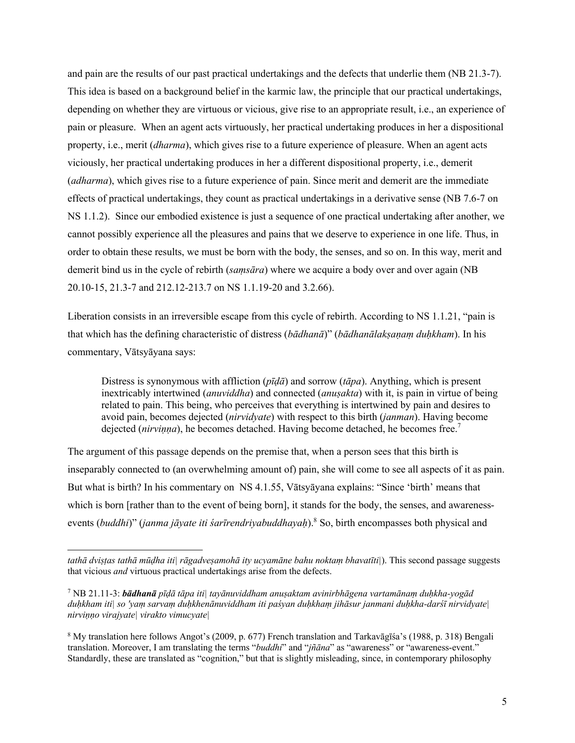and pain are the results of our past practical undertakings and the defects that underlie them (NB 21.3-7). This idea is based on a background belief in the karmic law, the principle that our practical undertakings, depending on whether they are virtuous or vicious, give rise to an appropriate result, i.e., an experience of pain or pleasure. When an agent acts virtuously, her practical undertaking produces in her a dispositional property, i.e., merit (*dharma*), which gives rise to a future experience of pleasure. When an agent acts viciously, her practical undertaking produces in her a different dispositional property, i.e., demerit (*adharma*), which gives rise to a future experience of pain. Since merit and demerit are the immediate effects of practical undertakings, they count as practical undertakings in a derivative sense (NB 7.6-7 on NS 1.1.2). Since our embodied existence is just a sequence of one practical undertaking after another, we cannot possibly experience all the pleasures and pains that we deserve to experience in one life. Thus, in order to obtain these results, we must be born with the body, the senses, and so on. In this way, merit and demerit bind us in the cycle of rebirth (*saṃsāra*) where we acquire a body over and over again (NB 20.10-15, 21.3-7 and 212.12-213.7 on NS 1.1.19-20 and 3.2.66).

Liberation consists in an irreversible escape from this cycle of rebirth. According to NS 1.1.21, "pain is that which has the defining characteristic of distress (*bādhanā*)" (*bādhanālakṣaṇaṃ duḥkham*). In his commentary, Vātsyāyana says:

Distress is synonymous with affliction (*pīḍā*) and sorrow (*tāpa*). Anything, which is present inextricably intertwined (*anuviddha*) and connected (*anuṣakta*) with it, is pain in virtue of being related to pain. This being, who perceives that everything is intertwined by pain and desires to avoid pain, becomes dejected (*nirvidyate*) with respect to this birth (*janman*). Having become dejected (*nirvinna*), he becomes detached. Having become detached, he becomes free.<sup>7</sup>

The argument of this passage depends on the premise that, when a person sees that this birth is inseparably connected to (an overwhelming amount of) pain, she will come to see all aspects of it as pain. But what is birth? In his commentary on NS 4.1.55, Vātsyāyana explains: "Since 'birth' means that which is born [rather than to the event of being born], it stands for the body, the senses, and awarenessevents (*buddhi*)" (*janma jāyate iti śarīrendriyabuddhayaḥ*). <sup>8</sup> So, birth encompasses both physical and

*tathā dviṣṭas tathā mūḍha iti| rāgadveṣamohā ity ucyamāne bahu noktaṃ bhavatīti|*). This second passage suggests that vicious *and* virtuous practical undertakings arise from the defects.

<sup>7</sup> NB 21.11-3: *bādhanā pīḍā tāpa iti| tayānuviddham anuṣaktam avinirbhāgena vartamānaṃ duḥkha-yogād duḥkham iti| so 'yaṃ sarvaṃ duḥkhenānuviddham iti paśyan duḥkhaṃ jihāsur janmani duḥkha-darśī nirvidyate| nirviṇṇo virajyate| virakto vimucyate|*

<sup>8</sup> My translation here follows Angot's (2009, p. 677) French translation and Tarkavāgīśa's (1988, p. 318) Bengali translation. Moreover, I am translating the terms "*buddhi*" and "*jñāna*" as "awareness" or "awareness-event." Standardly, these are translated as "cognition," but that is slightly misleading, since, in contemporary philosophy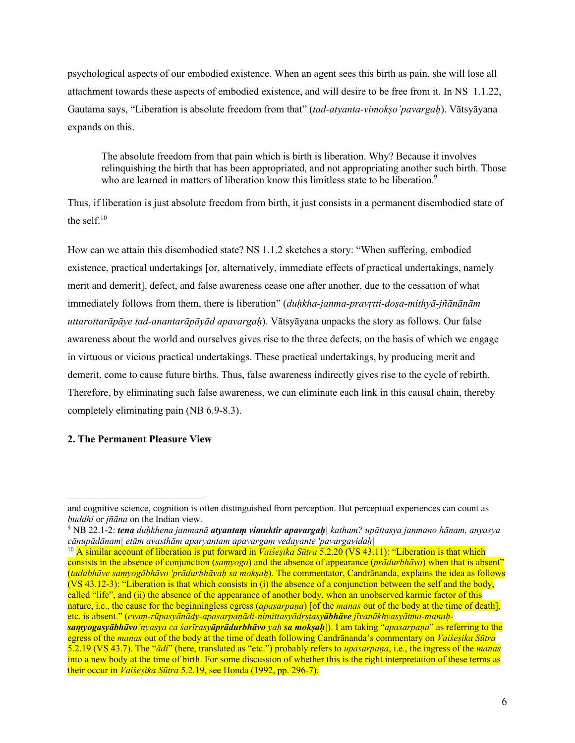psychological aspects of our embodied existence. When an agent sees this birth as pain, she will lose all attachment towards these aspects of embodied existence, and will desire to be free from it. In NS 1.1.22, Gautama says, "Liberation is absolute freedom from that" (*tad-atyanta-vimokṣo'pavargaḥ*). Vātsyāyana expands on this.

The absolute freedom from that pain which is birth is liberation. Why? Because it involves relinquishing the birth that has been appropriated, and not appropriating another such birth. Those who are learned in matters of liberation know this limitless state to be liberation.<sup>9</sup>

Thus, if liberation is just absolute freedom from birth, it just consists in a permanent disembodied state of the self. $10<sup>10</sup>$ 

How can we attain this disembodied state? NS 1.1.2 sketches a story: "When suffering, embodied existence, practical undertakings [or, alternatively, immediate effects of practical undertakings, namely merit and demerit], defect, and false awareness cease one after another, due to the cessation of what immediately follows from them, there is liberation" (*duḥkha-janma-pravṛtti-doṣa-mithyā-jñānānām uttarottarāpāye tad-anantarāpāyād apavargaḥ*). Vātsyāyana unpacks the story as follows. Our false awareness about the world and ourselves gives rise to the three defects, on the basis of which we engage in virtuous or vicious practical undertakings. These practical undertakings, by producing merit and demerit, come to cause future births. Thus, false awareness indirectly gives rise to the cycle of rebirth. Therefore, by eliminating such false awareness, we can eliminate each link in this causal chain, thereby completely eliminating pain (NB 6.9-8.3).

# **2. The Permanent Pleasure View**

and cognitive science, cognition is often distinguished from perception. But perceptual experiences can count as *buddhi* or *jñāna* on the Indian view.

<sup>9</sup> NB 22.1-2: *tena duḥkhena janmanā atyantaṃ vimuktir apavargaḥ| katham? upāttasya janmano hānam, anyasya cānupādānam| etām avasthām aparyantam apavargaṃ vedayante 'pavargavidaḥ|* 

<sup>&</sup>lt;sup>10</sup> A similar account of liberation is put forward in *Vaiśeṣika Sūtra* 5.2.20 (VS 43.11): "Liberation is that which consists in the absence of conjunction (*saṃyoga*) and the absence of appearance (*prādurbhāva*) when that is absent" (*tadabhāve saṃyogābhāvo 'prādurbhāvaḥ sa mokṣaḥ*). The commentator, Candrānanda, explains the idea as follows (VS 43.12-3): "Liberation is that which consists in (i) the absence of a conjunction between the self and the body, called "life", and (ii) the absence of the appearance of another body, when an unobserved karmic factor of this nature, i.e., the cause for the beginningless egress (*apasarpaṇa*) [of the *manas* out of the body at the time of death], etc. is absent." (*evaṃ-rūpasyānādy-apasarpaṇādi-nimittasyādṛṣṭasyābhāve jīvanākhyasyātma-manaḥsaṃyogasyābhāvo'nyasya ca śarīrasyāprādurbhāvo yaḥ sa mokṣaḥ|*). I am taking "*apasarpaṇa*" as referring to the egress of the *manas* out of the body at the time of death following Candrānanda's commentary on *Vaiśeṣika Sūtra* 5.2.19 (VS 43.7). The "*ādi*" (here, translated as "etc.") probably refers to *upasarpaṇa*, i.e., the ingress of the *manas* into a new body at the time of birth. For some discussion of whether this is the right interpretation of these terms as their occur in *Vaiśeṣika Sūtra* 5.2.19, see Honda (1992, pp. 296-7).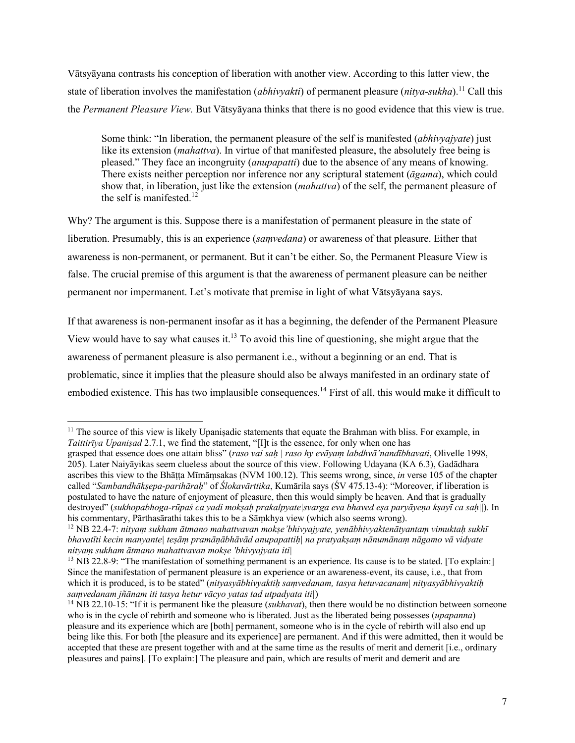Vātsyāyana contrasts his conception of liberation with another view. According to this latter view, the state of liberation involves the manifestation *(abhivyakti)* of permanent pleasure *(nitya-sukha*).<sup>11</sup> Call this the *Permanent Pleasure View.* But Vātsyāyana thinks that there is no good evidence that this view is true.

Some think: "In liberation, the permanent pleasure of the self is manifested (*abhivyajyate*) just like its extension (*mahattva*). In virtue of that manifested pleasure, the absolutely free being is pleased." They face an incongruity (*anupapatti*) due to the absence of any means of knowing. There exists neither perception nor inference nor any scriptural statement (*āgama*), which could show that, in liberation, just like the extension (*mahattva*) of the self, the permanent pleasure of the self is manifested.<sup>12</sup>

Why? The argument is this. Suppose there is a manifestation of permanent pleasure in the state of liberation. Presumably, this is an experience (*saṃvedana*) or awareness of that pleasure. Either that awareness is non-permanent, or permanent. But it can't be either. So, the Permanent Pleasure View is false. The crucial premise of this argument is that the awareness of permanent pleasure can be neither permanent nor impermanent. Let's motivate that premise in light of what Vātsyāyana says.

If that awareness is non-permanent insofar as it has a beginning, the defender of the Permanent Pleasure View would have to say what causes it.<sup>13</sup> To avoid this line of questioning, she might argue that the awareness of permanent pleasure is also permanent i.e., without a beginning or an end. That is problematic, since it implies that the pleasure should also be always manifested in an ordinary state of embodied existence. This has two implausible consequences.<sup>14</sup> First of all, this would make it difficult to

<sup>&</sup>lt;sup>11</sup> The source of this view is likely Upaniṣadic statements that equate the Brahman with bliss. For example, in *Taittirīya Upaniṣad* 2.7.1, we find the statement, "[I]t is the essence, for only when one has

grasped that essence does one attain bliss" (*raso vai saḥ | raso hy evāyaṃ labdhvā'nandībhavati*, Olivelle 1998, 205). Later Naiyāyikas seem clueless about the source of this view. Following Udayana (KA 6.3), Gadādhara ascribes this view to the Bhāṭṭa Mīmāṃsakas (NVM 100.12). This seems wrong, since, *in* verse 105 of the chapter called "*Sambandhākṣepa-parihāraḥ*" of *Ślokavārttika*, Kumārila says (ŚV 475.13-4): "Moreover, if liberation is postulated to have the nature of enjoyment of pleasure, then this would simply be heaven. And that is gradually destroyed" (*sukhopabhoga-rūpaś ca yadi mokṣaḥ prakalpyate|svarga eva bhaved eṣa paryāyeṇa kṣayī ca saḥ|*|). In his commentary, Pārthasārathi takes this to be a Sāṃkhya view (which also seems wrong). <sup>12</sup> NB 22.4-7: *nityam sukhām ātmano mahattvavan mokṣe'bhivyajyate, yenābhivyaktenātyantam vimuktah sukhī* 

*bhavatīti kecin manyante| teṣāṃ pramāṇābhāvād anupapattiḥ| na pratyakṣaṃ nānumānaṃ nāgamo vā vidyate nityaṃ sukham ātmano mahattvavan mokṣe 'bhivyajyata iti|*

<sup>&</sup>lt;sup>13</sup> NB 22.8-9: "The manifestation of something permanent is an experience. Its cause is to be stated. [To explain:] Since the manifestation of permanent pleasure is an experience or an awareness-event, its cause, i.e., that from which it is produced, is to be stated" (*nityasyābhivyaktiḥ saṃvedanam, tasya hetuvacanam| nityasyābhivyaktiḥ saṃvedanam jñānam iti tasya hetur vācyo yatas tad utpadyata iti|*)

<sup>14</sup> NB 22.10-15: "If it is permanent like the pleasure (*sukhavat*), then there would be no distinction between someone who is in the cycle of rebirth and someone who is liberated. Just as the liberated being possesses (*upapanna*) pleasure and its experience which are [both] permanent, someone who is in the cycle of rebirth will also end up being like this. For both [the pleasure and its experience] are permanent. And if this were admitted, then it would be accepted that these are present together with and at the same time as the results of merit and demerit [i.e., ordinary pleasures and pains]. [To explain:] The pleasure and pain, which are results of merit and demerit and are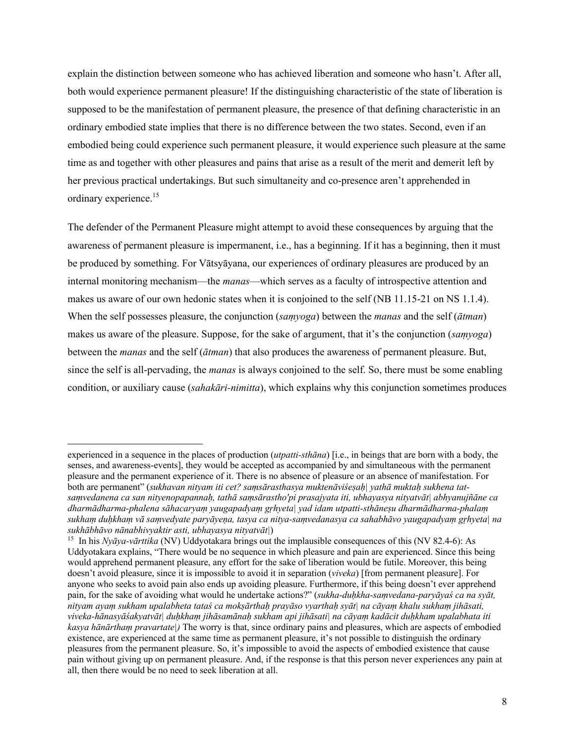explain the distinction between someone who has achieved liberation and someone who hasn't. After all, both would experience permanent pleasure! If the distinguishing characteristic of the state of liberation is supposed to be the manifestation of permanent pleasure, the presence of that defining characteristic in an ordinary embodied state implies that there is no difference between the two states. Second, even if an embodied being could experience such permanent pleasure, it would experience such pleasure at the same time as and together with other pleasures and pains that arise as a result of the merit and demerit left by her previous practical undertakings. But such simultaneity and co-presence aren't apprehended in ordinary experience.<sup>15</sup>

The defender of the Permanent Pleasure might attempt to avoid these consequences by arguing that the awareness of permanent pleasure is impermanent, i.e., has a beginning. If it has a beginning, then it must be produced by something. For Vātsyāyana, our experiences of ordinary pleasures are produced by an internal monitoring mechanism—the *manas*—which serves as a faculty of introspective attention and makes us aware of our own hedonic states when it is conjoined to the self (NB 11.15-21 on NS 1.1.4). When the self possesses pleasure, the conjunction (*saṃyoga*) between the *manas* and the self (*ātman*) makes us aware of the pleasure. Suppose, for the sake of argument, that it's the conjunction (*saṃyoga*) between the *manas* and the self (*ātman*) that also produces the awareness of permanent pleasure. But, since the self is all-pervading, the *manas* is always conjoined to the self. So, there must be some enabling condition, or auxiliary cause (*sahakāri-nimitta*), which explains why this conjunction sometimes produces

experienced in a sequence in the places of production (*utpatti-sthāna*) [i.e., in beings that are born with a body, the senses, and awareness-events], they would be accepted as accompanied by and simultaneous with the permanent pleasure and the permanent experience of it. There is no absence of pleasure or an absence of manifestation. For both are permanent" (*sukhavan nityam iti cet? samsārasthasya muktenāviśesah*| yathā muktah sukhena tat*saṃvedanena ca san nityenopapannaḥ, tathā saṃsārastho'pi prasajyata iti, ubhayasya nityatvāt| abhyanujñāne ca dharmādharma-phalena sāhacaryaṃ yaugapadyaṃ gṛhyeta| yad idam utpatti-sthāneṣu dharmādharma-phalaṃ sukhaṃ duḥkhaṃ vā saṃvedyate paryāyeṇa, tasya ca nitya-saṃvedanasya ca sahabhāvo yaugapadyaṃ gṛhyeta| na sukhābhāvo nānabhivyaktir asti, ubhayasya nityatvāt|*)

<sup>&</sup>lt;sup>15</sup> In his *Nyāya-vārttika* (NV) Uddyotakara brings out the implausible consequences of this (NV 82.4-6): As Uddyotakara explains, "There would be no sequence in which pleasure and pain are experienced. Since this being would apprehend permanent pleasure, any effort for the sake of liberation would be futile. Moreover, this being doesn't avoid pleasure, since it is impossible to avoid it in separation (*viveka*) [from permanent pleasure]. For anyone who seeks to avoid pain also ends up avoiding pleasure. Furthermore, if this being doesn't ever apprehend pain, for the sake of avoiding what would he undertake actions?" (*sukha-duḥkha-saṃvedana-paryāyaś ca na syāt, nityam ayaṃ sukham upalabheta tataś ca mokṣārthaḥ prayāso vyarthaḥ syāt| na cāyaṃ khalu sukhaṃ jihāsati, viveka-hānasyāśakyatvāt| duḥkhaṃ jihāsamānaḥ sukham api jihāsati| na cāyaṃ kadācit duḥkham upalabhata iti kasya hānārthaṃ pravartate|)* The worry is that, since ordinary pains and pleasures, which are aspects of embodied existence, are experienced at the same time as permanent pleasure, it's not possible to distinguish the ordinary pleasures from the permanent pleasure. So, it's impossible to avoid the aspects of embodied existence that cause pain without giving up on permanent pleasure. And, if the response is that this person never experiences any pain at all, then there would be no need to seek liberation at all.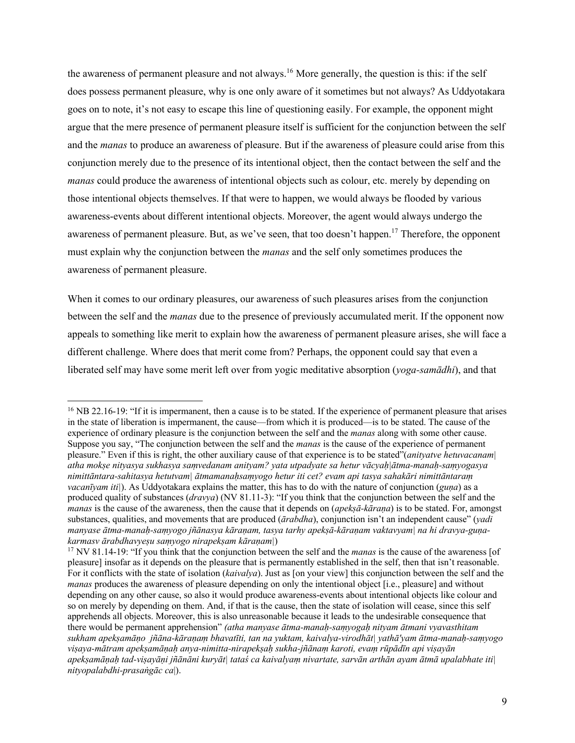the awareness of permanent pleasure and not always.<sup>16</sup> More generally, the question is this: if the self does possess permanent pleasure, why is one only aware of it sometimes but not always? As Uddyotakara goes on to note, it's not easy to escape this line of questioning easily. For example, the opponent might argue that the mere presence of permanent pleasure itself is sufficient for the conjunction between the self and the *manas* to produce an awareness of pleasure. But if the awareness of pleasure could arise from this conjunction merely due to the presence of its intentional object, then the contact between the self and the *manas* could produce the awareness of intentional objects such as colour, etc. merely by depending on those intentional objects themselves. If that were to happen, we would always be flooded by various awareness-events about different intentional objects. Moreover, the agent would always undergo the awareness of permanent pleasure. But, as we've seen, that too doesn't happen.<sup>17</sup> Therefore, the opponent must explain why the conjunction between the *manas* and the self only sometimes produces the awareness of permanent pleasure.

When it comes to our ordinary pleasures, our awareness of such pleasures arises from the conjunction between the self and the *manas* due to the presence of previously accumulated merit. If the opponent now appeals to something like merit to explain how the awareness of permanent pleasure arises, she will face a different challenge. Where does that merit come from? Perhaps, the opponent could say that even a liberated self may have some merit left over from yogic meditative absorption (*yoga-samādhi*), and that

<sup>&</sup>lt;sup>16</sup> NB 22.16-19: "If it is impermanent, then a cause is to be stated. If the experience of permanent pleasure that arises in the state of liberation is impermanent, the cause—from which it is produced—is to be stated. The cause of the experience of ordinary pleasure is the conjunction between the self and the *manas* along with some other cause. Suppose you say, "The conjunction between the self and the *manas* is the cause of the experience of permanent pleasure." Even if this is right, the other auxiliary cause of that experience is to be stated"(*anityatve hetuvacanam| atha mokṣe nityasya sukhasya saṃvedanam anityam? yata utpadyate sa hetur vācyaḥ|ātma-manaḥ-saṃyogasya nimittāntara-sahitasya hetutvam| ātmamanaḥsaṃyogo hetur iti cet? evam api tasya sahakāri nimittāntaraṃ vacanīyam iti|*). As Uddyotakara explains the matter, this has to do with the nature of conjunction (*guṇa*) as a produced quality of substances (*dravya*) (NV 81.11-3): "If you think that the conjunction between the self and the *manas* is the cause of the awareness, then the cause that it depends on (*apekṣā-kāraṇa*) is to be stated. For, amongst substances, qualities, and movements that are produced (*ārabdha*), conjunction isn't an independent cause" (*yadi manyase ātma-manaḥ-saṃyogo jñānasya kāraṇam, tasya tarhy apekṣā-kāraṇam vaktavyam| na hi dravya-guṇakarmasv ārabdhavyeṣu saṃyogo nirapekṣam kāraṇam*|)<br><sup>17</sup> NV 81.14-19: "If you think that the conjunction between the self and the *manas* is the cause of the awareness [of

pleasure] insofar as it depends on the pleasure that is permanently established in the self, then that isn't reasonable. For it conflicts with the state of isolation (*kaivalya*). Just as [on your view] this conjunction between the self and the *manas* produces the awareness of pleasure depending on only the intentional object [i.e., pleasure] and without depending on any other cause, so also it would produce awareness-events about intentional objects like colour and so on merely by depending on them. And, if that is the cause, then the state of isolation will cease, since this self apprehends all objects. Moreover, this is also unreasonable because it leads to the undesirable consequence that there would be permanent apprehension" *(atha manyase ātma-manaḥ-saṃyogaḥ nityam ātmani vyavasthitam sukham apekṣamāṇo jñāna-kāraṇaṃ bhavatīti, tan na yuktam, kaivalya-virodhāt| yathā'yam ātma-manaḥ-saṃyogo viṣaya-mātram apekṣamāṇaḥ anya-nimitta-nirapekṣaḥ sukha-jñānaṃ karoti, evaṃ rūpādīn api viṣayān apekṣamāṇaḥ tad-viṣayāṇi jñānāni kuryāt| tataś ca kaivalyaṃ nivartate, sarvān arthān ayam ātmā upalabhate iti| nityopalabdhi-prasaṅgāc ca*|).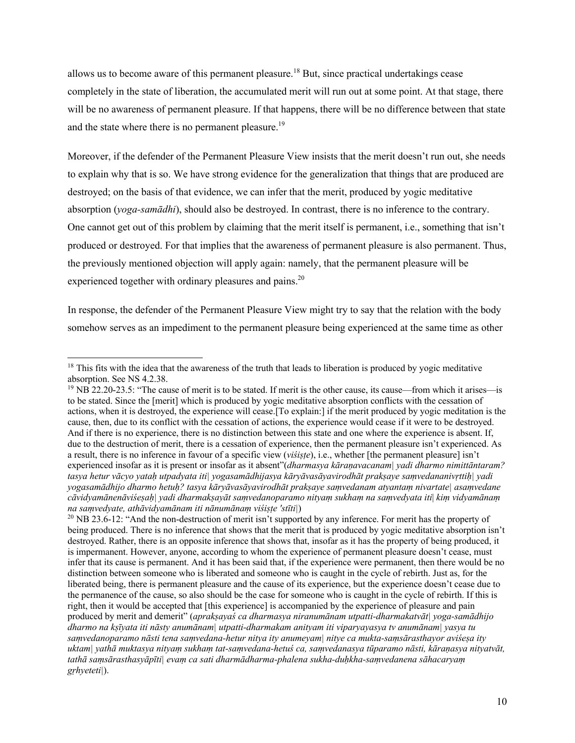allows us to become aware of this permanent pleasure.<sup>18</sup> But, since practical undertakings cease completely in the state of liberation, the accumulated merit will run out at some point. At that stage, there will be no awareness of permanent pleasure. If that happens, there will be no difference between that state and the state where there is no permanent pleasure.<sup>19</sup>

Moreover, if the defender of the Permanent Pleasure View insists that the merit doesn't run out, she needs to explain why that is so. We have strong evidence for the generalization that things that are produced are destroyed; on the basis of that evidence, we can infer that the merit, produced by yogic meditative absorption (*yoga-samādhi*), should also be destroyed. In contrast, there is no inference to the contrary. One cannot get out of this problem by claiming that the merit itself is permanent, i.e., something that isn't produced or destroyed. For that implies that the awareness of permanent pleasure is also permanent. Thus, the previously mentioned objection will apply again: namely, that the permanent pleasure will be experienced together with ordinary pleasures and pains.<sup>20</sup>

In response, the defender of the Permanent Pleasure View might try to say that the relation with the body somehow serves as an impediment to the permanent pleasure being experienced at the same time as other

<sup>&</sup>lt;sup>18</sup> This fits with the idea that the awareness of the truth that leads to liberation is produced by yogic meditative absorption. See NS 4.2.38.

 $19$  NB 22.20-23.5: "The cause of merit is to be stated. If merit is the other cause, its cause—from which it arises—is to be stated. Since the [merit] which is produced by yogic meditative absorption conflicts with the cessation of actions, when it is destroyed, the experience will cease.[To explain:] if the merit produced by yogic meditation is the cause, then, due to its conflict with the cessation of actions, the experience would cease if it were to be destroyed. And if there is no experience, there is no distinction between this state and one where the experience is absent. If, due to the destruction of merit, there is a cessation of experience, then the permanent pleasure isn't experienced. As a result, there is no inference in favour of a specific view (*viśiṣṭe*), i.e., whether [the permanent pleasure] isn't experienced insofar as it is present or insofar as it absent"(*dharmasya kāraṇavacanam| yadi dharmo nimittāntaram? tasya hetur vācyo yataḥ utpadyata iti| yogasamādhijasya kāryāvasāyavirodhāt prakṣaye saṃvedananivṛttiḥ| yadi yogasamādhijo dharmo hetuḥ? tasya kāryāvasāyavirodhāt prakṣaye saṃvedanam atyantaṃ nivartate| asaṃvedane cāvidyamānenāviśeṣaḥ| yadi dharmakṣayāt saṃvedanoparamo nityaṃ sukhaṃ na saṃvedyata iti*| *kiṃ vidyamānaṃ na saṃvedyate, athāvidyamānam iti nānumānaṃ viśiṣṭe 'stīti|*)

<sup>&</sup>lt;sup>20</sup> NB 23.6-12: "And the non-destruction of merit isn't supported by any inference. For merit has the property of being produced. There is no inference that shows that the merit that is produced by yogic meditative absorption isn't destroyed. Rather, there is an opposite inference that shows that, insofar as it has the property of being produced, it is impermanent. However, anyone, according to whom the experience of permanent pleasure doesn't cease, must infer that its cause is permanent. And it has been said that, if the experience were permanent, then there would be no distinction between someone who is liberated and someone who is caught in the cycle of rebirth. Just as, for the liberated being, there is permanent pleasure and the cause of its experience, but the experience doesn't cease due to the permanence of the cause, so also should be the case for someone who is caught in the cycle of rebirth. If this is right, then it would be accepted that [this experience] is accompanied by the experience of pleasure and pain produced by merit and demerit" (*aprakṣayaś ca dharmasya niranumānam utpatti-dharmakatvāt| yoga-samādhijo dharmo na kṣīyata iti nāsty anumānam| utpatti-dharmakam anityam iti viparyayasya tv anumānam| yasya tu saṃvedanoparamo nāsti tena saṃvedana-hetur nitya ity anumeyam| nitye ca mukta-saṃsārasthayor aviśeṣa ity uktam| yathā muktasya nityaṃ sukhaṃ tat-saṃvedana-hetuś ca, saṃvedanasya tūparamo nāsti, kāraṇasya nityatvāt, tathā saṃsārasthasyāpīti| evaṃ ca sati dharmādharma-phalena sukha-duḥkha-saṃvedanena sāhacaryaṃ gṛhyeteti|*).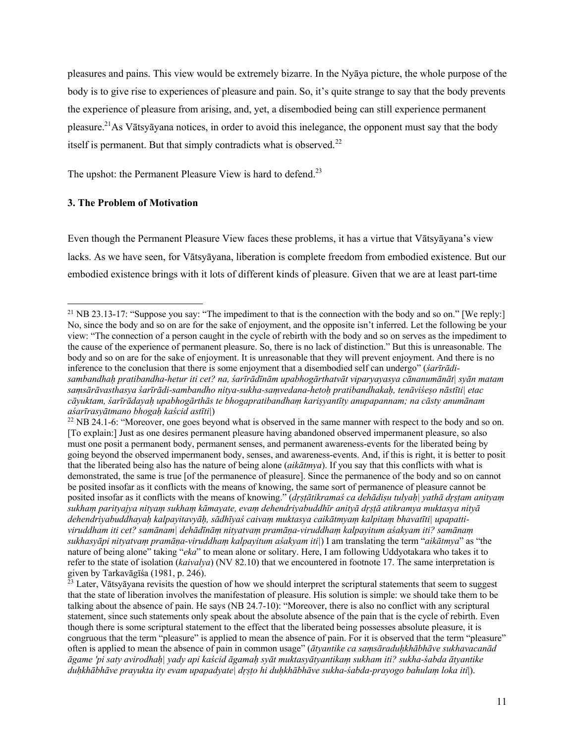pleasures and pains. This view would be extremely bizarre. In the Nyāya picture, the whole purpose of the body is to give rise to experiences of pleasure and pain. So, it's quite strange to say that the body prevents the experience of pleasure from arising, and, yet, a disembodied being can still experience permanent pleasure.21As Vātsyāyana notices, in order to avoid this inelegance, the opponent must say that the body itself is permanent. But that simply contradicts what is observed. $^{22}$ 

The upshot: the Permanent Pleasure View is hard to defend.<sup>23</sup>

#### **3. The Problem of Motivation**

Even though the Permanent Pleasure View faces these problems, it has a virtue that Vātsyāyana's view lacks. As we have seen, for Vātsyāyana, liberation is complete freedom from embodied existence. But our embodied existence brings with it lots of different kinds of pleasure. Given that we are at least part-time

<sup>&</sup>lt;sup>21</sup> NB 23.13-17: "Suppose you say: "The impediment to that is the connection with the body and so on." [We reply:] No, since the body and so on are for the sake of enjoyment, and the opposite isn't inferred. Let the following be your view: "The connection of a person caught in the cycle of rebirth with the body and so on serves as the impediment to the cause of the experience of permanent pleasure. So, there is no lack of distinction." But this is unreasonable. The body and so on are for the sake of enjoyment. It is unreasonable that they will prevent enjoyment. And there is no inference to the conclusion that there is some enjoyment that a disembodied self can undergo" (*śarīrādisambandhaḥ pratibandha-hetur iti cet? na, śarīrādīnām upabhogārthatvāt viparyayasya cānanumānāt| syān matam saṃsārāvasthasya śarīrādi-sambandho nitya-sukha-saṃvedana-hetoḥ pratibandhakaḥ, tenāviśeṣo nāstīti| etac cāyuktam, śarīrādayaḥ upabhogārthās te bhogapratibandhaṃ kariṣyantīty anupapannam; na cāsty anumānam aśarīrasyātmano bhogaḥ kaścid astīti|*)

 $22$  NB 24.1-6: "Moreover, one goes beyond what is observed in the same manner with respect to the body and so on. [To explain:] Just as one desires permanent pleasure having abandoned observed impermanent pleasure, so also must one posit a permanent body, permanent senses, and permanent awareness-events for the liberated being by going beyond the observed impermanent body, senses, and awareness-events. And, if this is right, it is better to posit that the liberated being also has the nature of being alone (*aikātmya*). If you say that this conflicts with what is demonstrated, the same is true [of the permanence of pleasure]. Since the permanence of the body and so on cannot be posited insofar as it conflicts with the means of knowing, the same sort of permanence of pleasure cannot be posited insofar as it conflicts with the means of knowing." (*dṛṣṭātikramaś ca dehādiṣu tulyaḥ| yathā dṛṣṭam anityaṃ sukhaṃ parityajya nityaṃ sukhaṃ kāmayate, evaṃ dehendriyabuddhīr anityā dṛṣṭā atikramya muktasya nityā dehendriyabuddhayaḥ kalpayitavyāḥ, sādhīyaś caivaṃ muktasya caikātmyaṃ kalpitaṃ bhavatīti| upapattiviruddham iti cet? samānam| dehādīnāṃ nityatvaṃ pramāṇa-viruddhaṃ kalpayitum aśakyam iti? samānaṃ sukhasyāpi nityatvaṃ pramāṇa-viruddhaṃ kalpayitum aśakyam iti|*) I am translating the term "*aikātmya*" as "the nature of being alone" taking "*eka*" to mean alone or solitary. Here, I am following Uddyotakara who takes it to refer to the state of isolation (*kaivalya*) (NV 82.10) that we encountered in footnote 17. The same interpretation is given by Tarkavāgīśa (1981, p. 246).

<sup>&</sup>lt;sup>23</sup> Later, Vātsyāyana revisits the question of how we should interpret the scriptural statements that seem to suggest that the state of liberation involves the manifestation of pleasure. His solution is simple: we should take them to be talking about the absence of pain. He says (NB 24.7-10): "Moreover, there is also no conflict with any scriptural statement, since such statements only speak about the absolute absence of the pain that is the cycle of rebirth. Even though there is some scriptural statement to the effect that the liberated being possesses absolute pleasure, it is congruous that the term "pleasure" is applied to mean the absence of pain. For it is observed that the term "pleasure" often is applied to mean the absence of pain in common usage" (*ātyantike ca saṃsāraduḥkhābhāve sukhavacanād āgame 'pi saty avirodhaḥ| yady api kaścid āgamaḥ syāt muktasyātyantikaṃ sukham iti? sukha-śabda ātyantike duḥkhābhāve prayukta ity evam upapadyate| dṛṣṭo hi duḥkhābhāve sukha-śabda-prayogo bahulaṃ loka iti*|).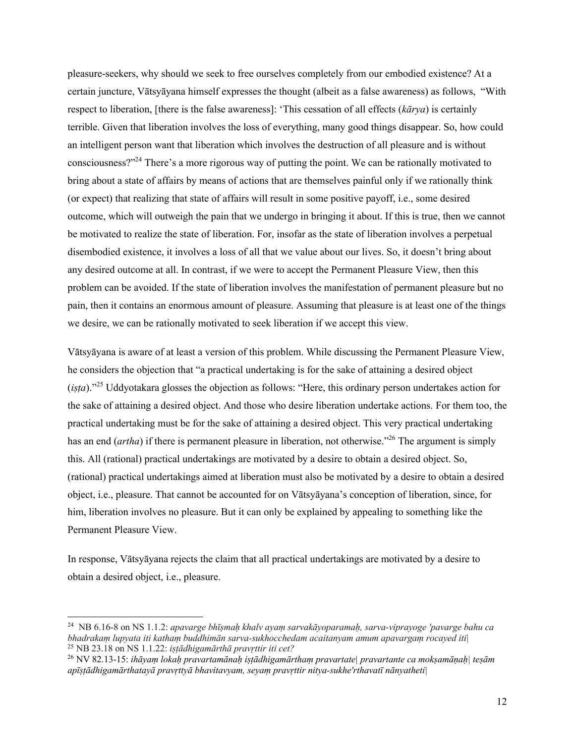pleasure-seekers, why should we seek to free ourselves completely from our embodied existence? At a certain juncture, Vātsyāyana himself expresses the thought (albeit as a false awareness) as follows, "With respect to liberation, [there is the false awareness]: 'This cessation of all effects (*kārya*) is certainly terrible. Given that liberation involves the loss of everything, many good things disappear. So, how could an intelligent person want that liberation which involves the destruction of all pleasure and is without consciousness?"24 There's a more rigorous way of putting the point. We can be rationally motivated to bring about a state of affairs by means of actions that are themselves painful only if we rationally think (or expect) that realizing that state of affairs will result in some positive payoff, i.e., some desired outcome, which will outweigh the pain that we undergo in bringing it about. If this is true, then we cannot be motivated to realize the state of liberation. For, insofar as the state of liberation involves a perpetual disembodied existence, it involves a loss of all that we value about our lives. So, it doesn't bring about any desired outcome at all. In contrast, if we were to accept the Permanent Pleasure View, then this problem can be avoided. If the state of liberation involves the manifestation of permanent pleasure but no pain, then it contains an enormous amount of pleasure. Assuming that pleasure is at least one of the things we desire, we can be rationally motivated to seek liberation if we accept this view.

Vātsyāyana is aware of at least a version of this problem. While discussing the Permanent Pleasure View, he considers the objection that "a practical undertaking is for the sake of attaining a desired object (*iṣṭa*)."<sup>25</sup> Uddyotakara glosses the objection as follows: "Here, this ordinary person undertakes action for the sake of attaining a desired object. And those who desire liberation undertake actions. For them too, the practical undertaking must be for the sake of attaining a desired object. This very practical undertaking has an end *(artha)* if there is permanent pleasure in liberation, not otherwise.<sup>326</sup> The argument is simply this. All (rational) practical undertakings are motivated by a desire to obtain a desired object. So, (rational) practical undertakings aimed at liberation must also be motivated by a desire to obtain a desired object, i.e., pleasure. That cannot be accounted for on Vātsyāyana's conception of liberation, since, for him, liberation involves no pleasure. But it can only be explained by appealing to something like the Permanent Pleasure View.

In response, Vātsyāyana rejects the claim that all practical undertakings are motivated by a desire to obtain a desired object, i.e., pleasure.

<sup>24</sup> NB 6.16-8 on NS 1.1.2: *apavarge bhīṣmaḥ khalv ayaṃ sarvakāyoparamaḥ, sarva-viprayoge 'pavarge bahu ca bhadrakaṃ lupyata iti kathaṃ buddhimān sarva-sukhocchedam acaitanyam amum apavargaṃ rocayed iti|* <sup>25</sup> NB 23.18 on NS 1.1.22: *iṣṭādhigamārthā pravṛttir iti cet?*

<sup>26</sup> NV 82.13-15: *ihāyaṃ lokaḥ pravartamānaḥ iṣṭādhigamārthaṃ pravartate| pravartante ca mokṣamāṇaḥ| teṣām apīṣṭādhigamārthatayā pravṛttyā bhavitavyam, seyaṃ pravṛttir nitya-sukhe'rthavatī nānyatheti|*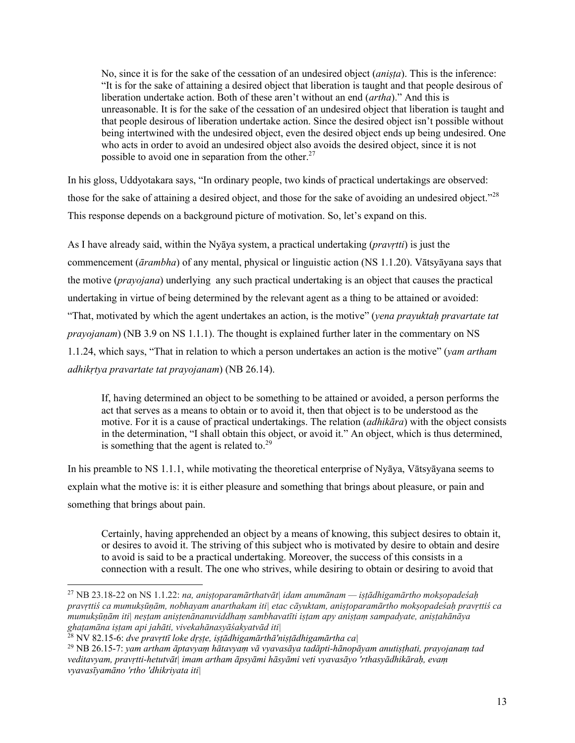No, since it is for the sake of the cessation of an undesired object (*aniṣṭa*). This is the inference: "It is for the sake of attaining a desired object that liberation is taught and that people desirous of liberation undertake action. Both of these aren't without an end (*artha*)." And this is unreasonable. It is for the sake of the cessation of an undesired object that liberation is taught and that people desirous of liberation undertake action. Since the desired object isn't possible without being intertwined with the undesired object, even the desired object ends up being undesired. One who acts in order to avoid an undesired object also avoids the desired object, since it is not possible to avoid one in separation from the other.<sup>27</sup>

In his gloss, Uddyotakara says, "In ordinary people, two kinds of practical undertakings are observed: those for the sake of attaining a desired object, and those for the sake of avoiding an undesired object."<sup>28</sup> This response depends on a background picture of motivation. So, let's expand on this.

As I have already said, within the Nyāya system, a practical undertaking (*pravṛtti*) is just the commencement (*ārambha*) of any mental, physical or linguistic action (NS 1.1.20). Vātsyāyana says that the motive (*prayojana*) underlying any such practical undertaking is an object that causes the practical undertaking in virtue of being determined by the relevant agent as a thing to be attained or avoided: "That, motivated by which the agent undertakes an action, is the motive" (*yena prayuktaḥ pravartate tat prayojanam*) (NB 3.9 on NS 1.1.1). The thought is explained further later in the commentary on NS 1.1.24, which says, "That in relation to which a person undertakes an action is the motive" (*yam artham adhikṛtya pravartate tat prayojanam*) (NB 26.14).

If, having determined an object to be something to be attained or avoided, a person performs the act that serves as a means to obtain or to avoid it, then that object is to be understood as the motive. For it is a cause of practical undertakings. The relation (*adhikāra*) with the object consists in the determination, "I shall obtain this object, or avoid it." An object, which is thus determined, is something that the agent is related to. $^{29}$ 

In his preamble to NS 1.1.1, while motivating the theoretical enterprise of Nyāya, Vātsyāyana seems to explain what the motive is: it is either pleasure and something that brings about pleasure, or pain and something that brings about pain.

Certainly, having apprehended an object by a means of knowing, this subject desires to obtain it, or desires to avoid it. The striving of this subject who is motivated by desire to obtain and desire to avoid is said to be a practical undertaking. Moreover, the success of this consists in a connection with a result. The one who strives, while desiring to obtain or desiring to avoid that

<sup>27</sup> NB 23.18-22 on NS 1.1.22: *na, aniṣṭoparamārthatvāt| idam anumānam — iṣṭādhigamārtho mokṣopadeśaḥ pravṛttiś ca mumukṣūṇām, nobhayam anarthakam iti| etac cāyuktam, aniṣṭoparamārtho mokṣopadeśaḥ pravṛttiś ca mumukṣūṇām iti| neṣṭam aniṣṭenānanuviddhaṃ sambhavatīti iṣṭam apy aniṣṭaṃ sampadyate, aniṣṭahānāya ghaṭamāna iṣṭam api jahāti, vivekahānasyāśakyatvād iti|*

<sup>28</sup> NV 82.15-6: *dve pravṛttī loke dṛṣṭe, iṣṭādhigamārthā'niṣṭādhigamārtha ca|*

<sup>29</sup> NB 26.15-7: *yam artham āptavyaṃ hātavyaṃ vā vyavasāya tadāpti-hānopāyam anutiṣṭhati, prayojanaṃ tad veditavyam, pravṛtti-hetutvāt| imam artham āpsyāmi hāsyāmi veti vyavasāyo 'rthasyādhikāraḥ, evaṃ vyavasīyamāno 'rtho 'dhikriyata iti|*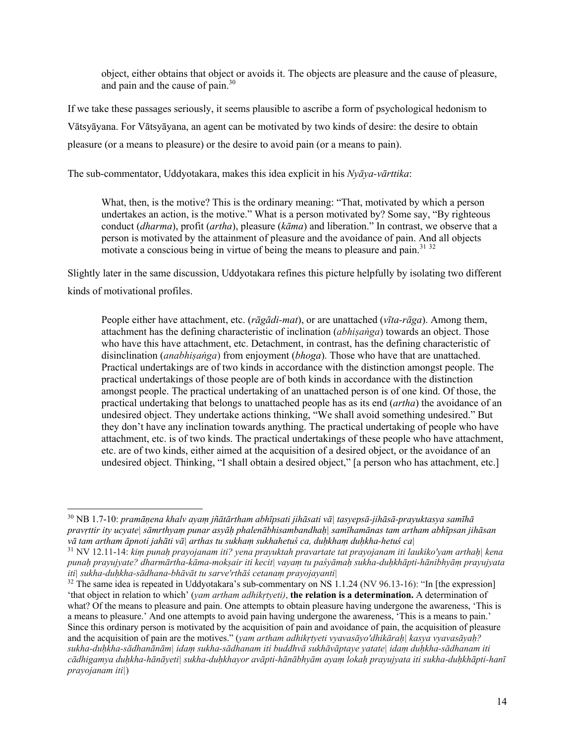object, either obtains that object or avoids it. The objects are pleasure and the cause of pleasure, and pain and the cause of pain.<sup>30</sup>

If we take these passages seriously, it seems plausible to ascribe a form of psychological hedonism to Vātsyāyana. For Vātsyāyana, an agent can be motivated by two kinds of desire: the desire to obtain pleasure (or a means to pleasure) or the desire to avoid pain (or a means to pain).

The sub-commentator, Uddyotakara, makes this idea explicit in his *Nyāya-vārttika*:

What, then, is the motive? This is the ordinary meaning: "That, motivated by which a person undertakes an action, is the motive." What is a person motivated by? Some say, "By righteous conduct (*dharma*), profit (*artha*), pleasure (*kāma*) and liberation." In contrast, we observe that a person is motivated by the attainment of pleasure and the avoidance of pain. And all objects motivate a conscious being in virtue of being the means to pleasure and pain.<sup>31 32</sup>

Slightly later in the same discussion, Uddyotakara refines this picture helpfully by isolating two different kinds of motivational profiles.

People either have attachment, etc. (*rāgādi-mat*), or are unattached (*vīta-rāga*). Among them, attachment has the defining characteristic of inclination (*abhiṣaṅga*) towards an object. Those who have this have attachment, etc. Detachment, in contrast, has the defining characteristic of disinclination (*anabhiṣaṅga*) from enjoyment (*bhoga*). Those who have that are unattached. Practical undertakings are of two kinds in accordance with the distinction amongst people. The practical undertakings of those people are of both kinds in accordance with the distinction amongst people. The practical undertaking of an unattached person is of one kind. Of those, the practical undertaking that belongs to unattached people has as its end (*artha*) the avoidance of an undesired object. They undertake actions thinking, "We shall avoid something undesired." But they don't have any inclination towards anything. The practical undertaking of people who have attachment, etc. is of two kinds. The practical undertakings of these people who have attachment, etc. are of two kinds, either aimed at the acquisition of a desired object, or the avoidance of an undesired object. Thinking, "I shall obtain a desired object," [a person who has attachment, etc.]

<sup>30</sup> NB 1.7-10: *pramāṇena khalv ayaṃ jñātārtham abhīpsati jihāsati vā| tasyepsā-jihāsā-prayuktasya samīhā pravṛttir ity ucyate| sāmrthyaṃ punar asyāḥ phalenābhisambandhaḥ| samīhamānas tam artham abhīpsan jihāsan vā tam artham āpnoti jahāti vā| arthas tu sukhaṃ sukhahetuś ca, duḥkhaṃ duḥkha-hetuś ca|*

<sup>31</sup> NV 12.11-14: *kiṃ punaḥ prayojanam iti? yena prayuktah pravartate tat prayojanam iti laukiko'yam arthaḥ| kena punaḥ prayujyate? dharmārtha-kāma-mokṣair iti kecit| vayaṃ tu paśyāmaḥ sukha-duḥkhāpti-hānibhyāṃ prayujyata iti| sukha-duḥkha-sādhana-bhāvāt tu sarve'rthāś cetanaṃ prayojayanti|*

<sup>&</sup>lt;sup>32</sup> The same idea is repeated in Uddyotakara's sub-commentary on NS 1.1.24 (NV 96.13-16): "In [the expression] 'that object in relation to which' (*yam artham adhikṛtyeti)*, **the relation is a determination.** A determination of what? Of the means to pleasure and pain. One attempts to obtain pleasure having undergone the awareness, 'This is a means to pleasure.' And one attempts to avoid pain having undergone the awareness, 'This is a means to pain.' Since this ordinary person is motivated by the acquisition of pain and avoidance of pain, the acquisition of pleasure and the acquisition of pain are the motives." (*yam artham adhikṛtyeti vyavasāyo'dhikāraḥ| kasya vyavasāyaḥ? sukha-duḥkha-sādhanānām| idaṃ sukha-sādhanam iti buddhvā sukhāvāptaye yatate| idaṃ duḥkha-sādhanam iti cādhigamya duḥkha-hānāyeti| sukha-duḥkhayor avāpti-hānābhyām ayaṃ lokaḥ prayujyata iti sukha-duḥkhāpti-hanī prayojanam iti|*)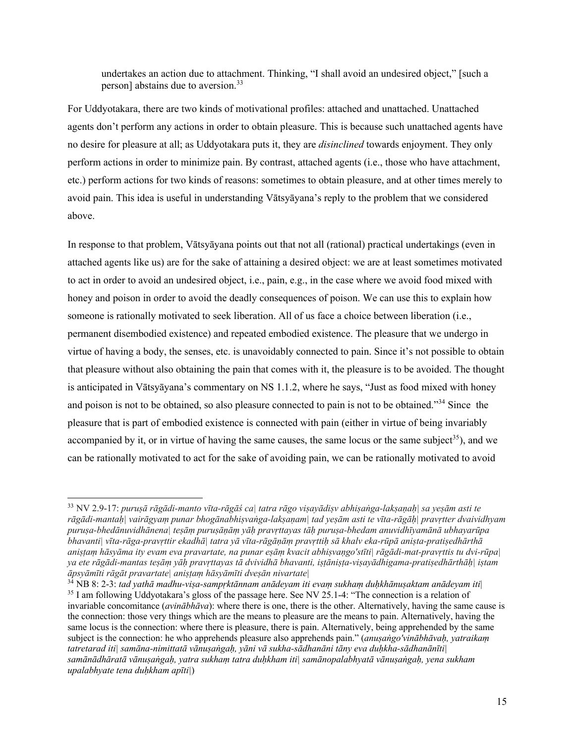undertakes an action due to attachment. Thinking, "I shall avoid an undesired object," [such a person] abstains due to aversion.<sup>33</sup>

For Uddyotakara, there are two kinds of motivational profiles: attached and unattached. Unattached agents don't perform any actions in order to obtain pleasure. This is because such unattached agents have no desire for pleasure at all; as Uddyotakara puts it, they are *disinclined* towards enjoyment. They only perform actions in order to minimize pain. By contrast, attached agents (i.e., those who have attachment, etc.) perform actions for two kinds of reasons: sometimes to obtain pleasure, and at other times merely to avoid pain. This idea is useful in understanding Vātsyāyana's reply to the problem that we considered above.

In response to that problem, Vātsyāyana points out that not all (rational) practical undertakings (even in attached agents like us) are for the sake of attaining a desired object: we are at least sometimes motivated to act in order to avoid an undesired object, i.e., pain, e.g., in the case where we avoid food mixed with honey and poison in order to avoid the deadly consequences of poison. We can use this to explain how someone is rationally motivated to seek liberation. All of us face a choice between liberation (i.e., permanent disembodied existence) and repeated embodied existence. The pleasure that we undergo in virtue of having a body, the senses, etc. is unavoidably connected to pain. Since it's not possible to obtain that pleasure without also obtaining the pain that comes with it, the pleasure is to be avoided. The thought is anticipated in Vātsyāyana's commentary on NS 1.1.2, where he says, "Just as food mixed with honey and poison is not to be obtained, so also pleasure connected to pain is not to be obtained."<sup>34</sup> Since the pleasure that is part of embodied existence is connected with pain (either in virtue of being invariably accompanied by it, or in virtue of having the same causes, the same locus or the same subject<sup>35</sup>), and we can be rationally motivated to act for the sake of avoiding pain, we can be rationally motivated to avoid

<sup>33</sup> NV 2.9-17: *puruṣā rāgādi-manto vīta-rāgāś ca| tatra rāgo viṣayādiṣv abhiṣaṅga-lakṣaṇaḥ| sa yeṣām asti te rāgādi-mantaḥ| vairāgyaṃ punar bhogānabhiṣvaṅga-lakṣaṇam| tad yeṣām asti te vīta-rāgāḥ| pravṛtter dvaividhyam puruṣa-bhedānuvidhānena| teṣāṃ puruṣāṇāṃ yāḥ pravṛttayas tāḥ puruṣa-bhedam anuvidhīyamānā ubhayarūpa bhavanti| vīta-rāga-pravṛttir ekadhā| tatra yā vīta-rāgāṇāṃ pravṛttiḥ sā khalv eka-rūpā aniṣta-pratiṣedhārthā aniṣṭaṃ hāsyāma ity evam eva pravartate, na punar eṣāṃ kvacit abhiṣvaṇgo'stīti| rāgādi-mat-pravṛttis tu dvi-rūpa| ya ete rāgādi-mantas teṣāṃ yāḥ pravṛttayas tā dvividhā bhavanti, iṣṭāniṣṭa-viṣayādhigama-pratiṣedhārthāḥ| iṣtam āpsyāmīti rāgāt pravartate| aniṣṭaṃ hāsyāmīti dveṣān nivartate|*

<sup>34</sup> NB 8: 2-3: *tad yathā madhu-viṣa-sampṛktānnam anādeyam iti evaṃ sukhaṃ duḥkhānuṣaktam anādeyam iti*| <sup>35</sup> I am following Uddyotakara's gloss of the passage here. See NV 25.1-4: "The connection is a relation of invariable concomitance (*avinābhāva*): where there is one, there is the other. Alternatively, having the same cause is the connection: those very things which are the means to pleasure are the means to pain. Alternatively, having the same locus is the connection: where there is pleasure, there is pain. Alternatively, being apprehended by the same subject is the connection: he who apprehends pleasure also apprehends pain." (*anuṣaṅgo'vinābhāvaḥ, yatraikaṃ tatretarad iti| samāna-nimittatā vānuṣaṅgaḥ, yāni vā sukha-sādhanāni tāny eva duḥkha-sādhanānīti| samānādhāratā vānuṣaṅgaḥ, yatra sukhaṃ tatra duḥkham iti| samānopalabhyatā vānuṣaṅgaḥ, yena sukham upalabhyate tena duḥkham apīti|*)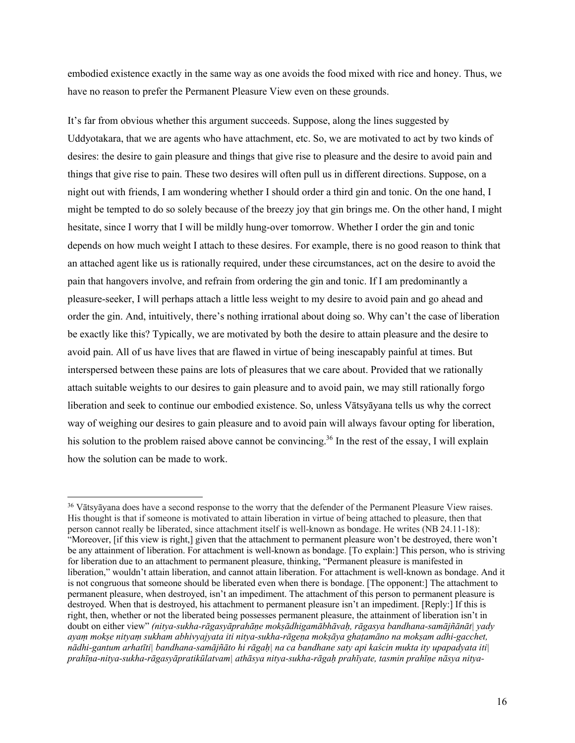embodied existence exactly in the same way as one avoids the food mixed with rice and honey. Thus, we have no reason to prefer the Permanent Pleasure View even on these grounds.

It's far from obvious whether this argument succeeds. Suppose, along the lines suggested by Uddyotakara, that we are agents who have attachment, etc. So, we are motivated to act by two kinds of desires: the desire to gain pleasure and things that give rise to pleasure and the desire to avoid pain and things that give rise to pain. These two desires will often pull us in different directions. Suppose, on a night out with friends, I am wondering whether I should order a third gin and tonic. On the one hand, I might be tempted to do so solely because of the breezy joy that gin brings me. On the other hand, I might hesitate, since I worry that I will be mildly hung-over tomorrow. Whether I order the gin and tonic depends on how much weight I attach to these desires. For example, there is no good reason to think that an attached agent like us is rationally required, under these circumstances, act on the desire to avoid the pain that hangovers involve, and refrain from ordering the gin and tonic. If I am predominantly a pleasure-seeker, I will perhaps attach a little less weight to my desire to avoid pain and go ahead and order the gin. And, intuitively, there's nothing irrational about doing so. Why can't the case of liberation be exactly like this? Typically, we are motivated by both the desire to attain pleasure and the desire to avoid pain. All of us have lives that are flawed in virtue of being inescapably painful at times. But interspersed between these pains are lots of pleasures that we care about. Provided that we rationally attach suitable weights to our desires to gain pleasure and to avoid pain, we may still rationally forgo liberation and seek to continue our embodied existence. So, unless Vātsyāyana tells us why the correct way of weighing our desires to gain pleasure and to avoid pain will always favour opting for liberation, his solution to the problem raised above cannot be convincing.<sup>36</sup> In the rest of the essay, I will explain how the solution can be made to work.

<sup>&</sup>lt;sup>36</sup> Vātsvāvana does have a second response to the worry that the defender of the Permanent Pleasure View raises. His thought is that if someone is motivated to attain liberation in virtue of being attached to pleasure, then that person cannot really be liberated, since attachment itself is well-known as bondage. He writes (NB 24.11-18): "Moreover, [if this view is right,] given that the attachment to permanent pleasure won't be destroyed, there won't be any attainment of liberation. For attachment is well-known as bondage. [To explain:] This person, who is striving for liberation due to an attachment to permanent pleasure, thinking, "Permanent pleasure is manifested in liberation," wouldn't attain liberation, and cannot attain liberation. For attachment is well-known as bondage. And it is not congruous that someone should be liberated even when there is bondage. [The opponent:] The attachment to permanent pleasure, when destroyed, isn't an impediment. The attachment of this person to permanent pleasure is destroyed. When that is destroyed, his attachment to permanent pleasure isn't an impediment. [Reply:] If this is right, then, whether or not the liberated being possesses permanent pleasure, the attainment of liberation isn't in doubt on either view" *(nitya-sukha-rāgasyāprahāṇe mokṣādhigamābhāvaḥ, rāgasya bandhana-samājñānāt| yady ayaṃ mokṣe nityaṃ sukham abhivyajyata iti nitya-sukha-rāgeṇa mokṣāya ghaṭamāno na mokṣam adhi-gacchet, nādhi-gantum arhatīti| bandhana-samājñāto hi rāgaḥ| na ca bandhane saty api kaścin mukta ity upapadyata iti| prahīṇa-nitya-sukha-rāgasyāpratikūlatvam| athāsya nitya-sukha-rāgaḥ prahīyate, tasmin prahīṇe nāsya nitya-*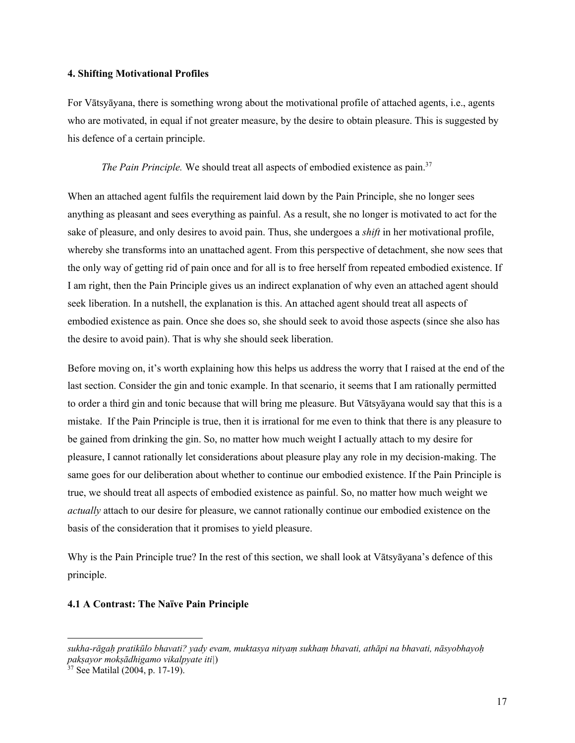#### **4. Shifting Motivational Profiles**

For Vātsyāyana, there is something wrong about the motivational profile of attached agents, i.e., agents who are motivated, in equal if not greater measure, by the desire to obtain pleasure. This is suggested by his defence of a certain principle.

*The Pain Principle.* We should treat all aspects of embodied existence as pain.<sup>37</sup>

When an attached agent fulfils the requirement laid down by the Pain Principle, she no longer sees anything as pleasant and sees everything as painful. As a result, she no longer is motivated to act for the sake of pleasure, and only desires to avoid pain. Thus, she undergoes a *shift* in her motivational profile, whereby she transforms into an unattached agent. From this perspective of detachment, she now sees that the only way of getting rid of pain once and for all is to free herself from repeated embodied existence. If I am right, then the Pain Principle gives us an indirect explanation of why even an attached agent should seek liberation. In a nutshell, the explanation is this. An attached agent should treat all aspects of embodied existence as pain. Once she does so, she should seek to avoid those aspects (since she also has the desire to avoid pain). That is why she should seek liberation.

Before moving on, it's worth explaining how this helps us address the worry that I raised at the end of the last section. Consider the gin and tonic example. In that scenario, it seems that I am rationally permitted to order a third gin and tonic because that will bring me pleasure. But Vātsyāyana would say that this is a mistake. If the Pain Principle is true, then it is irrational for me even to think that there is any pleasure to be gained from drinking the gin. So, no matter how much weight I actually attach to my desire for pleasure, I cannot rationally let considerations about pleasure play any role in my decision-making. The same goes for our deliberation about whether to continue our embodied existence. If the Pain Principle is true, we should treat all aspects of embodied existence as painful. So, no matter how much weight we *actually* attach to our desire for pleasure, we cannot rationally continue our embodied existence on the basis of the consideration that it promises to yield pleasure.

Why is the Pain Principle true? In the rest of this section, we shall look at Vātsyāyana's defence of this principle.

#### **4.1 A Contrast: The Naïve Pain Principle**

*sukha-rāgaḥ pratikūlo bhavati? yady evam, muktasya nityaṃ sukhaṃ bhavati, athāpi na bhavati, nāsyobhayoḥ pakṣayor mokṣādhigamo vikalpyate iti|*) 37 See Matilal (2004, p. 17-19).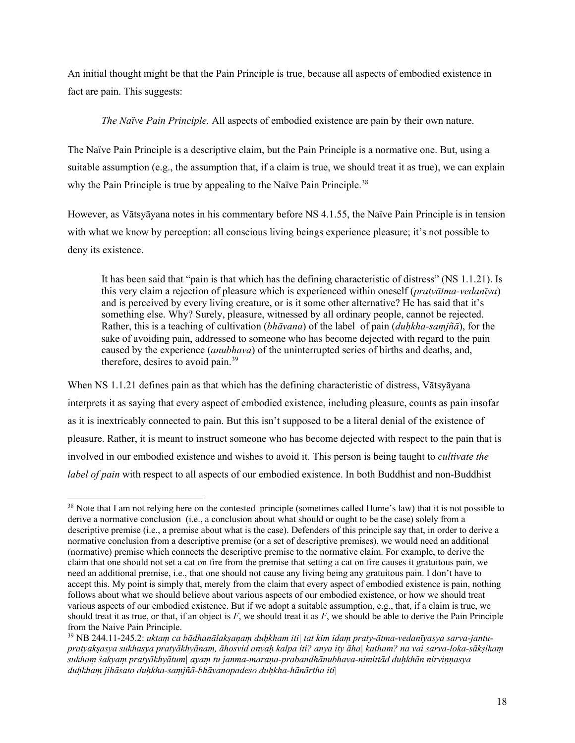An initial thought might be that the Pain Principle is true, because all aspects of embodied existence in fact are pain. This suggests:

*The Naïve Pain Principle.* All aspects of embodied existence are pain by their own nature.

The Naïve Pain Principle is a descriptive claim, but the Pain Principle is a normative one. But, using a suitable assumption (e.g., the assumption that, if a claim is true, we should treat it as true), we can explain why the Pain Principle is true by appealing to the Naïve Pain Principle.<sup>38</sup>

However, as Vātsyāyana notes in his commentary before NS 4.1.55, the Naïve Pain Principle is in tension with what we know by perception: all conscious living beings experience pleasure; it's not possible to deny its existence.

It has been said that "pain is that which has the defining characteristic of distress" (NS 1.1.21). Is this very claim a rejection of pleasure which is experienced within oneself (*pratyātma-vedanīya*) and is perceived by every living creature, or is it some other alternative? He has said that it's something else. Why? Surely, pleasure, witnessed by all ordinary people, cannot be rejected. Rather, this is a teaching of cultivation (*bhāvana*) of the label of pain (*duḥkha-saṃjñā*), for the sake of avoiding pain, addressed to someone who has become dejected with regard to the pain caused by the experience (*anubhava*) of the uninterrupted series of births and deaths, and, therefore, desires to avoid pain.<sup>39</sup>

When NS 1.1.21 defines pain as that which has the defining characteristic of distress, Vātsyāyana interprets it as saying that every aspect of embodied existence, including pleasure, counts as pain insofar as it is inextricably connected to pain. But this isn't supposed to be a literal denial of the existence of pleasure. Rather, it is meant to instruct someone who has become dejected with respect to the pain that is involved in our embodied existence and wishes to avoid it. This person is being taught to *cultivate the label of pain* with respect to all aspects of our embodied existence. In both Buddhist and non-Buddhist

<sup>&</sup>lt;sup>38</sup> Note that I am not relying here on the contested principle (sometimes called Hume's law) that it is not possible to derive a normative conclusion (i.e., a conclusion about what should or ought to be the case) solely from a descriptive premise (i.e., a premise about what is the case). Defenders of this principle say that, in order to derive a normative conclusion from a descriptive premise (or a set of descriptive premises), we would need an additional (normative) premise which connects the descriptive premise to the normative claim. For example, to derive the claim that one should not set a cat on fire from the premise that setting a cat on fire causes it gratuitous pain, we need an additional premise, i.e., that one should not cause any living being any gratuitous pain. I don't have to accept this. My point is simply that, merely from the claim that every aspect of embodied existence is pain, nothing follows about what we should believe about various aspects of our embodied existence, or how we should treat various aspects of our embodied existence. But if we adopt a suitable assumption, e.g., that, if a claim is true, we should treat it as true, or that, if an object is  $F$ , we should treat it as  $F$ , we should be able to derive the Pain Principle from the Naive Pain Principle.

<sup>39</sup> NB 244.11-245.2: *uktaṃ ca bādhanālakṣaṇaṃ duḥkham iti| tat kim idaṃ praty-ātma-vedanīyasya sarva-jantupratyakṣasya sukhasya pratyākhyānam, āhosvid anyaḥ kalpa iti? anya ity āha| katham? na vai sarva-loka-sākṣikaṃ sukhaṃ śakyaṃ pratyākhyātum| ayaṃ tu janma-maraṇa-prabandhānubhava-nimittād duḥkhān nirviṇṇasya duḥkhaṃ jihāsato duḥkha-saṃjñā-bhāvanopadeśo duḥkha-hānārtha iti|*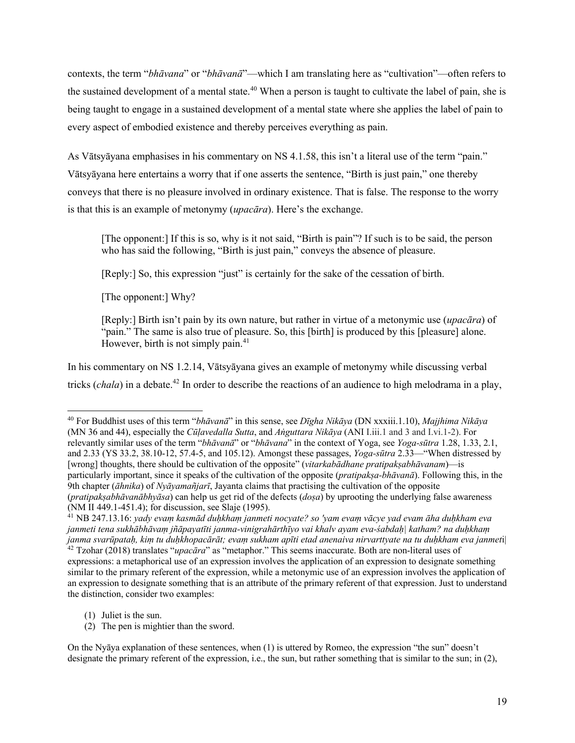contexts, the term "*bhāvana*" or "*bhāvanā*"—which I am translating here as "cultivation"—often refers to the sustained development of a mental state.<sup>40</sup> When a person is taught to cultivate the label of pain, she is being taught to engage in a sustained development of a mental state where she applies the label of pain to every aspect of embodied existence and thereby perceives everything as pain.

As Vātsyāyana emphasises in his commentary on NS 4.1.58, this isn't a literal use of the term "pain." Vātsyāyana here entertains a worry that if one asserts the sentence, "Birth is just pain," one thereby conveys that there is no pleasure involved in ordinary existence. That is false. The response to the worry is that this is an example of metonymy (*upacāra*). Here's the exchange.

[The opponent:] If this is so, why is it not said, "Birth is pain"? If such is to be said, the person who has said the following, "Birth is just pain," conveys the absence of pleasure.

[Reply:] So, this expression "just" is certainly for the sake of the cessation of birth.

[The opponent:] Why?

[Reply:] Birth isn't pain by its own nature, but rather in virtue of a metonymic use (*upacāra*) of "pain." The same is also true of pleasure. So, this [birth] is produced by this [pleasure] alone. However, birth is not simply pain. $41$ 

In his commentary on NS 1.2.14, Vātsyāyana gives an example of metonymy while discussing verbal tricks (*chala*) in a debate.<sup>42</sup> In order to describe the reactions of an audience to high melodrama in a play,

the distinction, consider two examples:

(2) The pen is mightier than the sword.

On the Nyāya explanation of these sentences, when (1) is uttered by Romeo, the expression "the sun" doesn't designate the primary referent of the expression, i.e., the sun, but rather something that is similar to the sun; in (2),

<sup>40</sup> For Buddhist uses of this term "*bhāvanā*" in this sense, see *Dīgha Nikāya* (DN xxxiii.1.10), *Majjhima Nikāya* (MN 36 and 44), especially the *Cūḷavedalla Sutta*, and *Aṅguttara Nikāya* (ANI I.iii.1 and 3 and I.vi.1-2). For relevantly similar uses of the term "*bhāvanā*" or "*bhāvana*" in the context of Yoga, see *Yoga-sūtra* 1.28, 1.33, 2.1, and 2.33 (YS 33.2, 38.10-12, 57.4-5, and 105.12). Amongst these passages, *Yoga-sūtra* 2.33—"When distressed by [wrong] thoughts, there should be cultivation of the opposite" (*vitarkabādhane pratipakṣabhāvanam*)—is particularly important, since it speaks of the cultivation of the opposite (*pratipakṣa-bhāvanā*). Following this, in the 9th chapter (*āhnika*) of *Nyāyamañjarī*, Jayanta claims that practising the cultivation of the opposite (*pratipakṣabhāvanābhyāsa*) can help us get rid of the defects (*doṣa*) by uprooting the underlying false awareness

<sup>(</sup>NM II 449.1-451.4); for discussion, see Slaje (1995). 41 NB 247.13.16: *yady evaṃ kasmād duḥkhaṃ janmeti nocyate? so 'yam evaṃ vācye yad evam āha duḥkham eva janmeti tena sukhābhāvaṃ jñāpayatīti janma-vinigrahārthīyo vai khalv ayam eva-śabdaḥ| katham? na duḥkhaṃ janma svarūpataḥ, kiṃ tu duḥkhopacārāt; evaṃ sukham apīti etad anenaiva nirvarttyate na tu duḥkham eva janmet*i| <sup>42</sup> Tzohar (2018) translates "*upacāra*" as "metaphor." This seems inaccurate. Both are non-literal uses of expressions: a metaphorical use of an expression involves the application of an expression to designate something similar to the primary referent of the expression, while a metonymic use of an expression involves the application of an expression to designate something that is an attribute of the primary referent of that expression. Just to understand

<sup>(1)</sup> Juliet is the sun.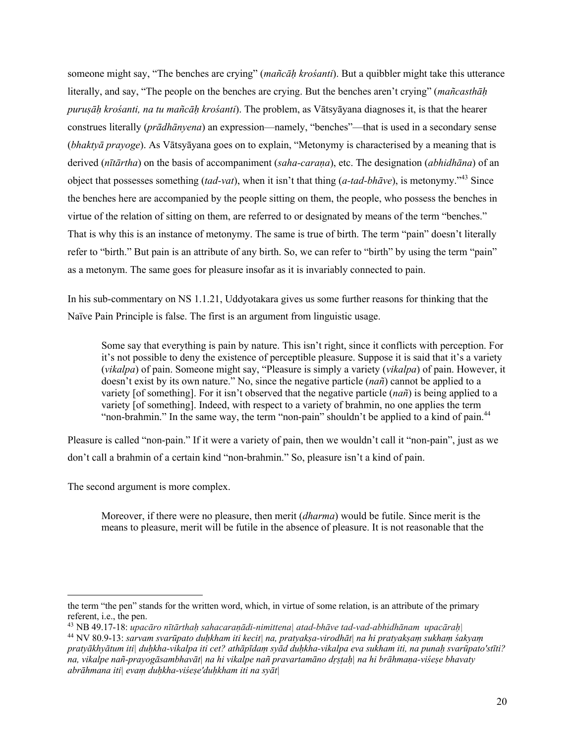someone might say, "The benches are crying" (*mañcāḥ krośanti*). But a quibbler might take this utterance literally, and say, "The people on the benches are crying. But the benches aren't crying" (*mañcasthāḥ puruṣāḥ krośanti, na tu mañcāḥ krośanti*). The problem, as Vātsyāyana diagnoses it, is that the hearer construes literally (*prādhānyena*) an expression—namely, "benches"—that is used in a secondary sense (*bhaktyā prayoge*). As Vātsyāyana goes on to explain, "Metonymy is characterised by a meaning that is derived (*nītārtha*) on the basis of accompaniment (*saha-caraṇa*), etc. The designation (*abhidhāna*) of an object that possesses something (*tad-vat*), when it isn't that thing (*a-tad-bhāve*), is metonymy."<sup>43</sup> Since the benches here are accompanied by the people sitting on them, the people, who possess the benches in virtue of the relation of sitting on them, are referred to or designated by means of the term "benches." That is why this is an instance of metonymy. The same is true of birth. The term "pain" doesn't literally refer to "birth." But pain is an attribute of any birth. So, we can refer to "birth" by using the term "pain" as a metonym. The same goes for pleasure insofar as it is invariably connected to pain.

In his sub-commentary on NS 1.1.21, Uddyotakara gives us some further reasons for thinking that the Naïve Pain Principle is false. The first is an argument from linguistic usage.

Some say that everything is pain by nature. This isn't right, since it conflicts with perception. For it's not possible to deny the existence of perceptible pleasure. Suppose it is said that it's a variety (*vikalpa*) of pain. Someone might say, "Pleasure is simply a variety (*vikalpa*) of pain. However, it doesn't exist by its own nature." No, since the negative particle (*nañ*) cannot be applied to a variety [of something]. For it isn't observed that the negative particle (*nañ*) is being applied to a variety [of something]. Indeed, with respect to a variety of brahmin, no one applies the term "non-brahmin." In the same way, the term "non-pain" shouldn't be applied to a kind of pain.<sup>44</sup>

Pleasure is called "non-pain." If it were a variety of pain, then we wouldn't call it "non-pain", just as we don't call a brahmin of a certain kind "non-brahmin." So, pleasure isn't a kind of pain.

The second argument is more complex.

Moreover, if there were no pleasure, then merit (*dharma*) would be futile. Since merit is the means to pleasure, merit will be futile in the absence of pleasure. It is not reasonable that the

the term "the pen" stands for the written word, which, in virtue of some relation, is an attribute of the primary referent, i.e., the pen.

<sup>43</sup> NB 49.17-18: *upacāro nītārthaḥ sahacaraṇādi-nimittena| atad-bhāve tad-vad-abhidhānam upacāraḥ|*

<sup>44</sup> NV 80.9-13: *sarvam svarūpato duḥkham iti kecit| na, pratyakṣa-virodhāt| na hi pratyakṣaṃ sukhaṃ śakyaṃ pratyākhyātum iti| duḥkha-vikalpa iti cet? athāpīdaṃ syād duḥkha-vikalpa eva sukham iti, na punaḥ svarūpato'stīti? na, vikalpe nañ-prayogāsambhavāt| na hi vikalpe nañ pravartamāno dṛṣṭaḥ| na hi brāhmaṇa-viśeṣe bhavaty abrāhmana iti| evaṃ duḥkha-viśeṣe'duḥkham iti na syāt|*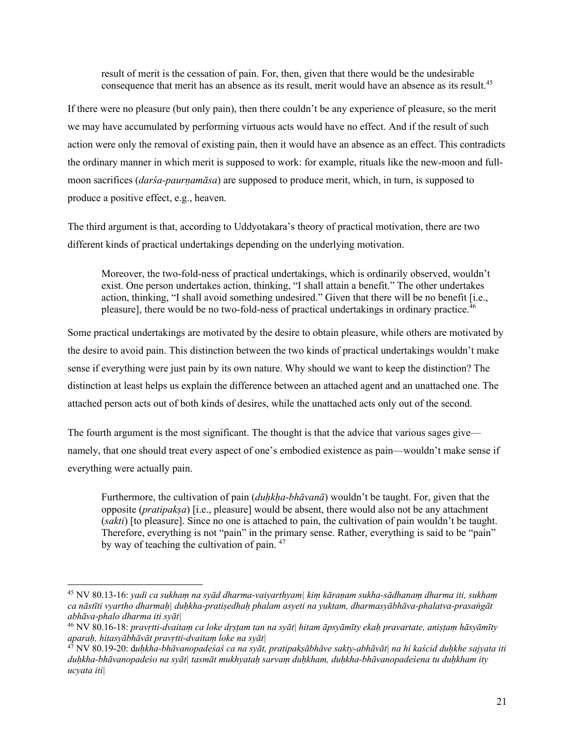result of merit is the cessation of pain. For, then, given that there would be the undesirable consequence that merit has an absence as its result, merit would have an absence as its result.<sup>45</sup>

If there were no pleasure (but only pain), then there couldn't be any experience of pleasure, so the merit we may have accumulated by performing virtuous acts would have no effect. And if the result of such action were only the removal of existing pain, then it would have an absence as an effect. This contradicts the ordinary manner in which merit is supposed to work: for example, rituals like the new-moon and fullmoon sacrifices *(darśa-paurnamāsa)* are supposed to produce merit, which, in turn, is supposed to produce a positive effect, e.g., heaven.

The third argument is that, according to Uddyotakara's theory of practical motivation, there are two different kinds of practical undertakings depending on the underlying motivation.

Moreover, the two-fold-ness of practical undertakings, which is ordinarily observed, wouldn't exist. One person undertakes action, thinking, "I shall attain a benefit." The other undertakes action, thinking, "I shall avoid something undesired." Given that there will be no benefit [i.e., pleasure], there would be no two-fold-ness of practical undertakings in ordinary practice.<sup>46</sup>

Some practical undertakings are motivated by the desire to obtain pleasure, while others are motivated by the desire to avoid pain. This distinction between the two kinds of practical undertakings wouldn't make sense if everything were just pain by its own nature. Why should we want to keep the distinction? The distinction at least helps us explain the difference between an attached agent and an unattached one. The attached person acts out of both kinds of desires, while the unattached acts only out of the second.

The fourth argument is the most significant. The thought is that the advice that various sages give namely, that one should treat every aspect of one's embodied existence as pain—wouldn't make sense if everything were actually pain.

Furthermore, the cultivation of pain (*duhkha-bhāvanā*) wouldn't be taught. For, given that the opposite (*pratipakṣa*) [i.e., pleasure] would be absent, there would also not be any attachment (*sakti*) [to pleasure]. Since no one is attached to pain, the cultivation of pain wouldn't be taught. Therefore, everything is not "pain" in the primary sense. Rather, everything is said to be "pain" by way of teaching the cultivation of pain. <sup>47</sup>

<sup>45</sup> NV 80.13-16: *yadi ca sukhaṃ na syād dharma-vaiyarthyam| kiṃ kāraṇam sukha-sādhanaṃ dharma iti, sukhaṃ ca nāstīti vyartho dharmaḥ| duḥkha-pratiṣedhaḥ phalam asyeti na yuktam, dharmasyābhāva-phalatva-prasaṅgāt abhāva-phalo dharma iti syāt|* 

<sup>46</sup> NV 80.16-18: *pravṛtti-dvaitaṃ ca loke dṛṣṭam tan na syāt| hitam āpsyāmīty ekaḥ pravartate, aniṣṭaṃ hāsyāmīty aparaḥ, hitasyābhāvāt pravṛtti-dvaitaṃ loke na syāt|* 

<sup>47</sup> NV 80.19-20: d*uḥkha-bhāvanopadeśaś ca na syāt, pratipakṣābhāve sakty-abhāvāt| na hi kaścid duḥkhe sajyata iti duḥkha-bhāvanopadeśo na syāt| tasmāt mukhyataḥ sarvaṃ duḥkham, duḥkha-bhāvanopadeśena tu duḥkham ity ucyata iti|*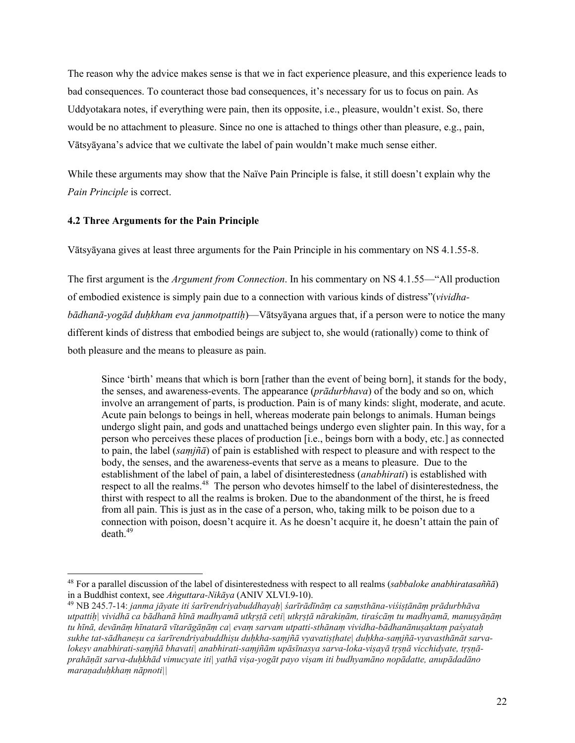The reason why the advice makes sense is that we in fact experience pleasure, and this experience leads to bad consequences. To counteract those bad consequences, it's necessary for us to focus on pain. As Uddyotakara notes, if everything were pain, then its opposite, i.e., pleasure, wouldn't exist. So, there would be no attachment to pleasure. Since no one is attached to things other than pleasure, e.g., pain, Vātsyāyana's advice that we cultivate the label of pain wouldn't make much sense either.

While these arguments may show that the Naïve Pain Principle is false, it still doesn't explain why the *Pain Principle* is correct.

#### **4.2 Three Arguments for the Pain Principle**

Vātsyāyana gives at least three arguments for the Pain Principle in his commentary on NS 4.1.55-8.

The first argument is the *Argument from Connection*. In his commentary on NS 4.1.55—"All production of embodied existence is simply pain due to a connection with various kinds of distress"(*vividhabādhanā-yogād duḥkham eva janmotpattiḥ*)—Vātsyāyana argues that, if a person were to notice the many different kinds of distress that embodied beings are subject to, she would (rationally) come to think of both pleasure and the means to pleasure as pain.

Since 'birth' means that which is born [rather than the event of being born], it stands for the body, the senses, and awareness-events. The appearance (*prādurbhava*) of the body and so on, which involve an arrangement of parts, is production. Pain is of many kinds: slight, moderate, and acute. Acute pain belongs to beings in hell, whereas moderate pain belongs to animals. Human beings undergo slight pain, and gods and unattached beings undergo even slighter pain. In this way, for a person who perceives these places of production [i.e., beings born with a body, etc.] as connected to pain, the label (*saṃjñā*) of pain is established with respect to pleasure and with respect to the body, the senses, and the awareness-events that serve as a means to pleasure. Due to the establishment of the label of pain, a label of disinterestedness (*anabhirati*) is established with respect to all the realms.<sup>48</sup> The person who devotes himself to the label of disinterestedness, the thirst with respect to all the realms is broken. Due to the abandonment of the thirst, he is freed from all pain. This is just as in the case of a person, who, taking milk to be poison due to a connection with poison, doesn't acquire it. As he doesn't acquire it, he doesn't attain the pain of  $death<sup>49</sup>$ 

<sup>48</sup> For a parallel discussion of the label of disinterestedness with respect to all realms (*sabbaloke anabhiratasaññā*) in a Buddhist context, see *Aṅguttara-Nikāya* (ANIV XLVI.9-10). 49 NB 245.7-14: *janma jāyate iti śarīrendriyabuddhayaḥ| śarīrādīnāṃ ca saṃsthāna-viśiṣṭānāṃ prādurbhāva* 

*utpattiḥ| vividhā ca bādhanā hīnā madhyamā utkṛṣṭā ceti| utkṛṣṭā nārakiṇām, tiraścāṃ tu madhyamā, manuṣyāṇāṃ tu hīnā, devānāṃ hīnatarā vītarāgāṇāṃ ca| evaṃ sarvam utpatti-sthānaṃ vividha-bādhanānuṣaktaṃ paśyataḥ sukhe tat-sādhaneṣu ca śarīrendriyabuddhiṣu duḥkha-saṃjñā vyavatiṣṭhate| duḥkha-saṃjñā-vyavasthānāt sarvalokeṣv anabhirati-saṃjñā bhavati| anabhirati-saṃjñām upāsīnasya sarva-loka-viṣayā tṛṣṇā vicchidyate, tṛṣṇāprahāṇāt sarva-duḥkhād vimucyate iti| yathā viṣa-yogāt payo viṣam iti budhyamāno nopādatte, anupādadāno maraṇaduḥkhaṃ nāpnoti||*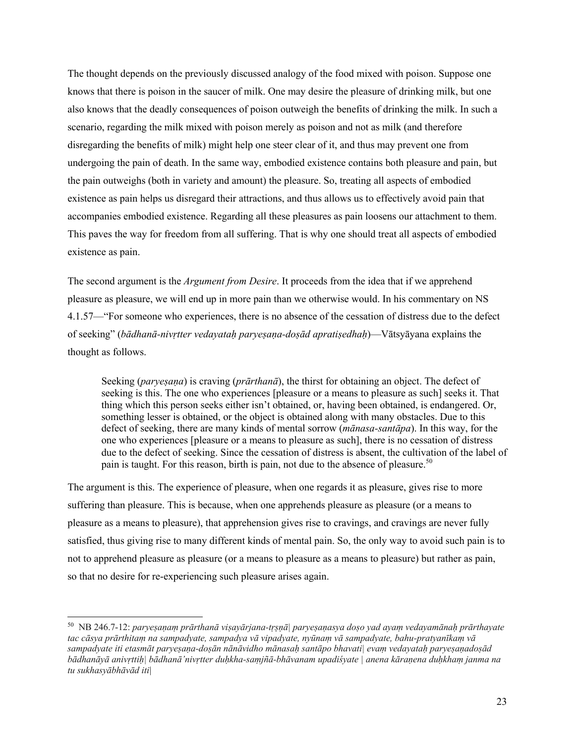The thought depends on the previously discussed analogy of the food mixed with poison. Suppose one knows that there is poison in the saucer of milk. One may desire the pleasure of drinking milk, but one also knows that the deadly consequences of poison outweigh the benefits of drinking the milk. In such a scenario, regarding the milk mixed with poison merely as poison and not as milk (and therefore disregarding the benefits of milk) might help one steer clear of it, and thus may prevent one from undergoing the pain of death. In the same way, embodied existence contains both pleasure and pain, but the pain outweighs (both in variety and amount) the pleasure. So, treating all aspects of embodied existence as pain helps us disregard their attractions, and thus allows us to effectively avoid pain that accompanies embodied existence. Regarding all these pleasures as pain loosens our attachment to them. This paves the way for freedom from all suffering. That is why one should treat all aspects of embodied existence as pain.

The second argument is the *Argument from Desire*. It proceeds from the idea that if we apprehend pleasure as pleasure, we will end up in more pain than we otherwise would. In his commentary on NS 4.1.57—"For someone who experiences, there is no absence of the cessation of distress due to the defect of seeking" (*bādhanā-nivṛtter vedayataḥ paryeṣaṇa-doṣād apratiṣedhaḥ*)—Vātsyāyana explains the thought as follows.

Seeking (*paryeṣaṇa*) is craving (*prārthanā*), the thirst for obtaining an object. The defect of seeking is this. The one who experiences [pleasure or a means to pleasure as such] seeks it. That thing which this person seeks either isn't obtained, or, having been obtained, is endangered. Or, something lesser is obtained, or the object is obtained along with many obstacles. Due to this defect of seeking, there are many kinds of mental sorrow (*mānasa-santāpa*). In this way, for the one who experiences [pleasure or a means to pleasure as such], there is no cessation of distress due to the defect of seeking. Since the cessation of distress is absent, the cultivation of the label of pain is taught. For this reason, birth is pain, not due to the absence of pleasure.<sup>50</sup>

The argument is this. The experience of pleasure, when one regards it as pleasure, gives rise to more suffering than pleasure. This is because, when one apprehends pleasure as pleasure (or a means to pleasure as a means to pleasure), that apprehension gives rise to cravings, and cravings are never fully satisfied, thus giving rise to many different kinds of mental pain. So, the only way to avoid such pain is to not to apprehend pleasure as pleasure (or a means to pleasure as a means to pleasure) but rather as pain, so that no desire for re-experiencing such pleasure arises again.

<sup>50</sup> NB 246.7-12: *paryeṣaṇaṃ prārthanā viṣayārjana-tṛṣṇā| paryeṣaṇasya doṣo yad ayaṃ vedayamānaḥ prārthayate tac cāsya prārthitaṃ na sampadyate, sampadya vā vipadyate, nyūnaṃ vā sampadyate, bahu-pratyanīkaṃ vā sampadyate iti etasmāt paryeṣaṇa-doṣān nānāvidho mānasaḥ santāpo bhavati| evaṃ vedayataḥ paryeṣaṇadoṣād bādhanāyā anivṛttiḥ| bādhanā'nivṛtter duḥkha-saṃjñā-bhāvanam upadiśyate | anena kāraṇena duḥkhaṃ janma na tu sukhasyābhāvād iti*|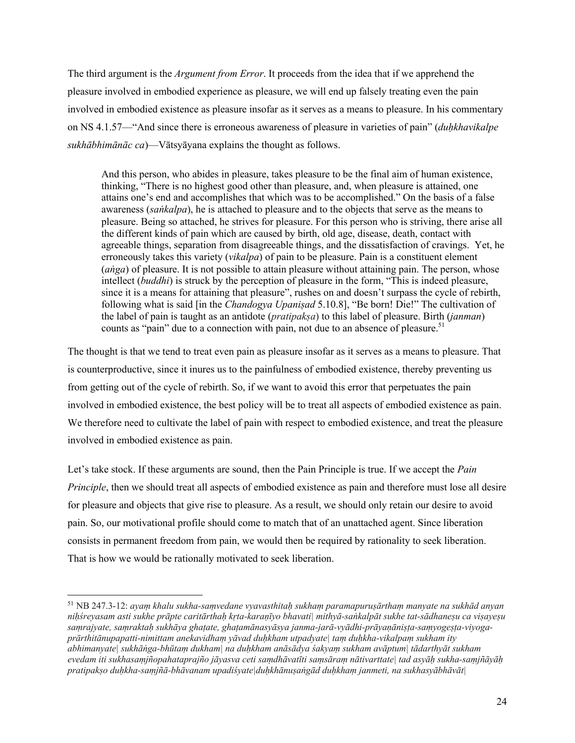The third argument is the *Argument from Error*. It proceeds from the idea that if we apprehend the pleasure involved in embodied experience as pleasure, we will end up falsely treating even the pain involved in embodied existence as pleasure insofar as it serves as a means to pleasure. In his commentary on NS 4.1.57—"And since there is erroneous awareness of pleasure in varieties of pain" (*duḥkhavikalpe sukhābhimānāc ca*)—Vātsyāyana explains the thought as follows.

And this person, who abides in pleasure, takes pleasure to be the final aim of human existence, thinking, "There is no highest good other than pleasure, and, when pleasure is attained, one attains one's end and accomplishes that which was to be accomplished." On the basis of a false awareness (*saṅkalpa*), he is attached to pleasure and to the objects that serve as the means to pleasure. Being so attached, he strives for pleasure. For this person who is striving, there arise all the different kinds of pain which are caused by birth, old age, disease, death, contact with agreeable things, separation from disagreeable things, and the dissatisfaction of cravings. Yet, he erroneously takes this variety (*vikalpa*) of pain to be pleasure. Pain is a constituent element (*aṅga*) of pleasure. It is not possible to attain pleasure without attaining pain. The person, whose intellect (*buddhi*) is struck by the perception of pleasure in the form, "This is indeed pleasure, since it is a means for attaining that pleasure", rushes on and doesn't surpass the cycle of rebirth, following what is said [in the *Chandogya Upaniṣad* 5.10.8], "Be born! Die!" The cultivation of the label of pain is taught as an antidote (*pratipakṣa*) to this label of pleasure. Birth (*janman*) counts as "pain" due to a connection with pain, not due to an absence of pleasure.<sup>51</sup>

The thought is that we tend to treat even pain as pleasure insofar as it serves as a means to pleasure. That is counterproductive, since it inures us to the painfulness of embodied existence, thereby preventing us from getting out of the cycle of rebirth. So, if we want to avoid this error that perpetuates the pain involved in embodied existence, the best policy will be to treat all aspects of embodied existence as pain. We therefore need to cultivate the label of pain with respect to embodied existence, and treat the pleasure involved in embodied existence as pain.

Let's take stock. If these arguments are sound, then the Pain Principle is true. If we accept the *Pain Principle*, then we should treat all aspects of embodied existence as pain and therefore must lose all desire for pleasure and objects that give rise to pleasure. As a result, we should only retain our desire to avoid pain. So, our motivational profile should come to match that of an unattached agent. Since liberation consists in permanent freedom from pain, we would then be required by rationality to seek liberation. That is how we would be rationally motivated to seek liberation.

<sup>51</sup> NB 247.3-12: *ayaṃ khalu sukha-saṃvedane vyavasthitaḥ sukhaṃ paramapuruṣārthaṃ manyate na sukhād anyan niḥśreyasam asti sukhe prāpte caritārthaḥ kṛta-karaṇīyo bhavati| mithyā-saṅkalpāt sukhe tat-sādhaneṣu ca viṣayeṣu saṃrajyate, saṃraktaḥ sukhāya ghaṭate, ghaṭamānasyāsya janma-jarā-vyādhi-prāyaṇāniṣṭa-saṃyogeṣṭa-viyogaprārthitānupapatti-nimittam anekavidhaṃ yāvad duḥkham utpadyate| taṃ duḥkha-vikalpaṃ sukham ity abhimanyate| sukhāṅga-bhūtaṃ dukham| na duḥkham anāsādya śakyaṃ sukham avāptum| tādarthyāt sukham evedam iti sukhasaṃjñopahataprajño jāyasva ceti saṃdhāvatīti saṃsāraṃ nātivarttate| tad asyāḥ sukha-saṃjñāyāḥ pratipakṣo duḥkha-saṃjñā-bhāvanam upadiśyate|duḥkhānuṣaṅgād duḥkhaṃ janmeti, na sukhasyābhāvāt|*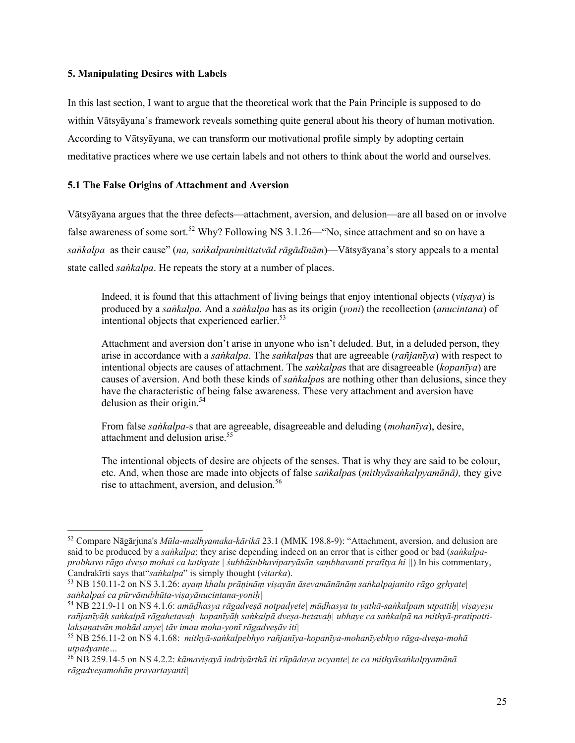#### **5. Manipulating Desires with Labels**

In this last section, I want to argue that the theoretical work that the Pain Principle is supposed to do within Vātsyāyana's framework reveals something quite general about his theory of human motivation. According to Vātsyāyana, we can transform our motivational profile simply by adopting certain meditative practices where we use certain labels and not others to think about the world and ourselves.

# **5.1 The False Origins of Attachment and Aversion**

Vātsyāyana argues that the three defects—attachment, aversion, and delusion—are all based on or involve false awareness of some sort.<sup>52</sup> Why? Following NS  $3.1.26$ —"No, since attachment and so on have a *saṅkalpa* as their cause" (*na, saṅkalpanimittatvād rāgādīnām*)—Vātsyāyana's story appeals to a mental state called *saṅkalpa*. He repeats the story at a number of places.

Indeed, it is found that this attachment of living beings that enjoy intentional objects (*viṣaya*) is produced by a *saṅkalpa.* And a *saṅkalpa* has as its origin (*yoni*) the recollection (*anucintana*) of intentional objects that experienced earlier.<sup>53</sup>

Attachment and aversion don't arise in anyone who isn't deluded. But, in a deluded person, they arise in accordance with a *saṅkalpa*. The *saṅkalpa*s that are agreeable (*rañjanīya*) with respect to intentional objects are causes of attachment. The *saṅkalpa*s that are disagreeable (*kopanīya*) are causes of aversion. And both these kinds of *saṅkalpa*s are nothing other than delusions, since they have the characteristic of being false awareness. These very attachment and aversion have delusion as their origin.<sup>54</sup>

From false *saṅkalpa-*s that are agreeable, disagreeable and deluding (*mohanīya*), desire, attachment and delusion arise.<sup>55</sup>

The intentional objects of desire are objects of the senses. That is why they are said to be colour, etc. And, when those are made into objects of false *saṅkalpa*s (*mithyāsaṅkalpyamānā),* they give rise to attachment, aversion, and delusion.<sup>56</sup>

<sup>52</sup> Compare Nāgārjuna's *Mūla-madhyamaka-kārikā* 23.1 (MMK 198.8-9): "Attachment, aversion, and delusion are said to be produced by a *saṅkalpa*; they arise depending indeed on an error that is either good or bad (*saṅkalpaprabhavo rāgo dveṣo mohaś ca kathyate | śubhāśubhaviparyāsān saṃbhavanti pratītya hi ||*) In his commentary, Candrakīrti says that"*saṅkalpa*" is simply thought (*vitarka*). 53 NB 150.11-2 on NS 3.1.26: *ayaṃ khalu prāṇināṃ viṣayān āsevamānānāṃ saṅkalpajanito rāgo gṛhyate|* 

*saṅkalpaś ca pūrvānubhūta-viṣayānucintana-yoniḥ|*

<sup>54</sup> NB 221.9-11 on NS 4.1.6: *amūḍhasya rāgadveṣā notpadyete| mūḍhasya tu yathā-saṅkalpam utpattiḥ| viṣayeṣu rañjanīyāḥ saṅkalpā rāgahetavaḥ| kopanīyāḥ saṅkalpā dveṣa-hetavaḥ| ubhaye ca saṅkalpā na mithyā-pratipattilakṣaṇatvān mohād anye| tāv imau moha-yonī rāgadveṣāv iti|*

<sup>55</sup> NB 256.11-2 on NS 4.1.68: *mithyā-saṅkalpebhyo rañjanīya-kopanīya-mohanīyebhyo rāga-dveṣa-mohā utpadyante…*

<sup>56</sup> NB 259.14-5 on NS 4.2.2: *kāmaviṣayā indriyārthā iti rūpādaya ucyante| te ca mithyāsaṅkalpyamānā rāgadveṣamohān pravartayanti|*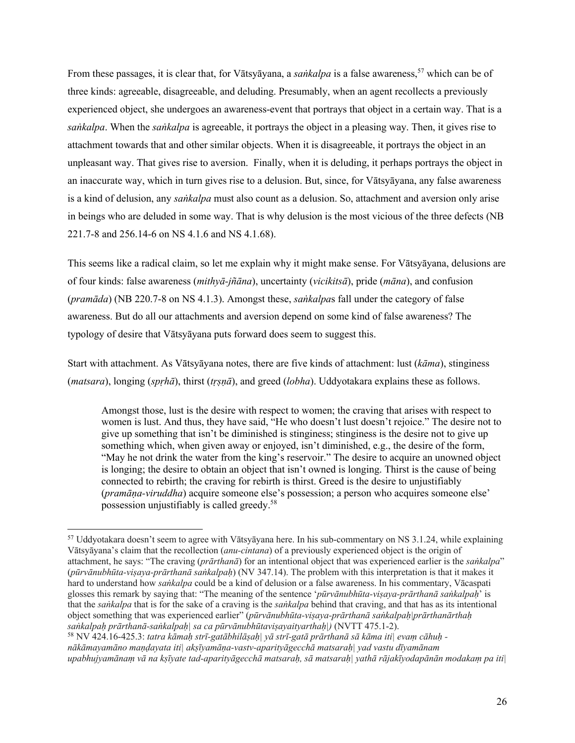From these passages, it is clear that, for Vātsyāyana, a *saṅkalpa* is a false awareness,<sup>57</sup> which can be of three kinds: agreeable, disagreeable, and deluding. Presumably, when an agent recollects a previously experienced object, she undergoes an awareness-event that portrays that object in a certain way. That is a *saṅkalpa*. When the *saṅkalpa* is agreeable, it portrays the object in a pleasing way. Then, it gives rise to attachment towards that and other similar objects. When it is disagreeable, it portrays the object in an unpleasant way. That gives rise to aversion. Finally, when it is deluding, it perhaps portrays the object in an inaccurate way, which in turn gives rise to a delusion. But, since, for Vātsyāyana, any false awareness is a kind of delusion, any *saṅkalpa* must also count as a delusion. So, attachment and aversion only arise in beings who are deluded in some way. That is why delusion is the most vicious of the three defects (NB 221.7-8 and 256.14-6 on NS 4.1.6 and NS 4.1.68).

This seems like a radical claim, so let me explain why it might make sense. For Vātsyāyana, delusions are of four kinds: false awareness (*mithyā-jñāna*), uncertainty (*vicikitsā*), pride (*māna*), and confusion (*pramāda*) (NB 220.7-8 on NS 4.1.3). Amongst these, *saṅkalpa*s fall under the category of false awareness. But do all our attachments and aversion depend on some kind of false awareness? The typology of desire that Vātsyāyana puts forward does seem to suggest this.

Start with attachment. As Vātsyāyana notes, there are five kinds of attachment: lust (*kāma*), stinginess (*matsara*), longing (*spṛhā*), thirst (*tṛṣṇā*), and greed (*lobha*). Uddyotakara explains these as follows.

Amongst those, lust is the desire with respect to women; the craving that arises with respect to women is lust. And thus, they have said, "He who doesn't lust doesn't rejoice." The desire not to give up something that isn't be diminished is stinginess; stinginess is the desire not to give up something which, when given away or enjoyed, isn't diminished, e.g., the desire of the form, "May he not drink the water from the king's reservoir." The desire to acquire an unowned object is longing; the desire to obtain an object that isn't owned is longing. Thirst is the cause of being connected to rebirth; the craving for rebirth is thirst. Greed is the desire to unjustifiably (*pramāṇa-viruddha*) acquire someone else's possession; a person who acquires someone else' possession unjustifiably is called greedy.58

<sup>58</sup> NV 424.16-425.3: *tatra kāmaḥ strī-gatābhilāṣaḥ| yā strī-gatā prārthanā sā kāma iti| evaṃ cāhuḥ nākāmayamāno maṇḍayata iti| akṣīyamāṇa-vastv-aparityāgecchā matsaraḥ| yad vastu dīyamānam upabhujyamānaṃ vā na kṣīyate tad-aparityāgecchā matsaraḥ, sā matsaraḥ| yathā rājakīyodapānān modakaṃ pa iti|* 

<sup>57</sup> Uddyotakara doesn't seem to agree with Vātsyāyana here. In his sub-commentary on NS 3.1.24, while explaining Vātsyāyana's claim that the recollection (*anu-cintana*) of a previously experienced object is the origin of attachment, he says: "The craving (*prārthanā*) for an intentional object that was experienced earlier is the *saṅkalpa*" (*pūrvānubhūta-viṣaya-prārthanā saṅkalpaḥ*) (NV 347.14). The problem with this interpretation is that it makes it hard to understand how *saṅkalpa* could be a kind of delusion or a false awareness. In his commentary, Vācaspati glosses this remark by saying that: "The meaning of the sentence '*pūrvānubhūta-viṣaya-prārthanā saṅkalpaḥ*' is that the *saṅkalpa* that is for the sake of a craving is the *saṅkalpa* behind that craving, and that has as its intentional object something that was experienced earlier" (*pūrvānubhūta-viṣaya-prārthanā saṅkalpaḥ|prārthanārthaḥ saṅkalpaḥ prārthanā-saṅkalpaḥ| sa ca pūrvānubhūtaviṣayaityarthaḥ|)* (NVTT 475.1-2).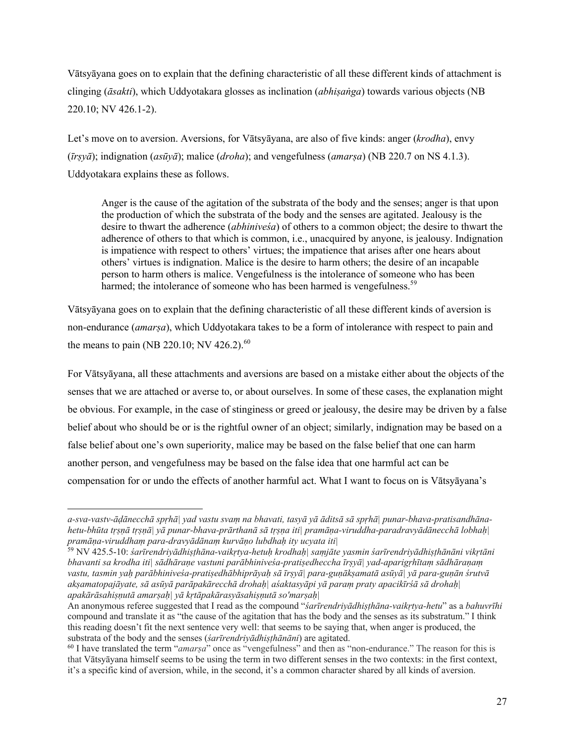Vātsyāyana goes on to explain that the defining characteristic of all these different kinds of attachment is clinging (*āsakti*), which Uddyotakara glosses as inclination (*abhiṣaṅga*) towards various objects (NB 220.10; NV 426.1-2).

Let's move on to aversion. Aversions, for Vātsyāyana, are also of five kinds: anger (*krodha*), envy (*īrṣyā*); indignation (*asūyā*); malice (*droha*); and vengefulness (*amarṣa*) (NB 220.7 on NS 4.1.3). Uddyotakara explains these as follows.

Anger is the cause of the agitation of the substrata of the body and the senses; anger is that upon the production of which the substrata of the body and the senses are agitated. Jealousy is the desire to thwart the adherence (*abhiniveśa*) of others to a common object; the desire to thwart the adherence of others to that which is common, i.e., unacquired by anyone, is jealousy. Indignation is impatience with respect to others' virtues; the impatience that arises after one hears about others' virtues is indignation. Malice is the desire to harm others; the desire of an incapable person to harm others is malice. Vengefulness is the intolerance of someone who has been harmed; the intolerance of someone who has been harmed is vengefulness.<sup>59</sup>

Vātsyāyana goes on to explain that the defining characteristic of all these different kinds of aversion is non-endurance (*amarṣa*), which Uddyotakara takes to be a form of intolerance with respect to pain and the means to pain (NB 220.10; NV 426.2). $^{60}$ 

For Vātsyāyana, all these attachments and aversions are based on a mistake either about the objects of the senses that we are attached or averse to, or about ourselves. In some of these cases, the explanation might be obvious. For example, in the case of stinginess or greed or jealousy, the desire may be driven by a false belief about who should be or is the rightful owner of an object; similarly, indignation may be based on a false belief about one's own superiority, malice may be based on the false belief that one can harm another person, and vengefulness may be based on the false idea that one harmful act can be compensation for or undo the effects of another harmful act. What I want to focus on is Vātsyāyana's

*a-sva-vastv-āḍānecchā spṛhā| yad vastu svaṃ na bhavati, tasyā yā āditsā sā spṛhā| punar-bhava-pratisandhānahetu-bhūta tṛṣṇā tṛṣṇā| yā punar-bhava-prārthanā sā tṛṣṇa iti| pramāṇa-viruddha-paradravyādānecchā lobhaḥ| pramāṇa-viruddhaṃ para-dravyādānaṃ kurvāṇo lubdhaḥ ity ucyata iti|* 

<sup>59</sup> NV 425.5-10: *śarīrendriyādhiṣṭhāna-vaikṛtya-hetuḥ krodhaḥ| saṃjāte yasmin śarīrendriyādhiṣṭhānāni vikṛtāni bhavanti sa krodha iti| sādhāraṇe vastuni parābhiniveśa-pratiṣedheccha īrṣyā| yad-aparigṛhītaṃ sādhāraṇaṃ vastu, tasmin yaḥ parābhiniveśa-pratiṣedhābhiprāyaḥ sā īrṣyā| para-guṇākṣamatā asūyā| yā para-guṇān śrutvā akṣamatopajāyate, sā asūyā parāpakārecchā drohaḥ| aśaktasyāpi yā paraṃ praty apacikīrśā sā drohaḥ| apakārāsahiṣṇutā amarṣaḥ| yā kṛtāpakārasyāsahiṣṇutā so'marṣaḥ|*

An anonymous referee suggested that I read as the compound "*śarīrendriyādhiṣṭhāna-vaikṛtya-hetu*" as a *bahuvrīhi* compound and translate it as "the cause of the agitation that has the body and the senses as its substratum." I think this reading doesn't fit the next sentence very well: that seems to be saying that, when anger is produced, the substrata of the body and the senses (*śarīrendriyādhiṣṭhānāni*) are agitated.<br><sup>60</sup> I have translated the term "*amarsa*" once as "vengefulness" and then as "non-endurance." The reason for this is

that Vātsyāyana himself seems to be using the term in two different senses in the two contexts: in the first context, it's a specific kind of aversion, while, in the second, it's a common character shared by all kinds of aversion.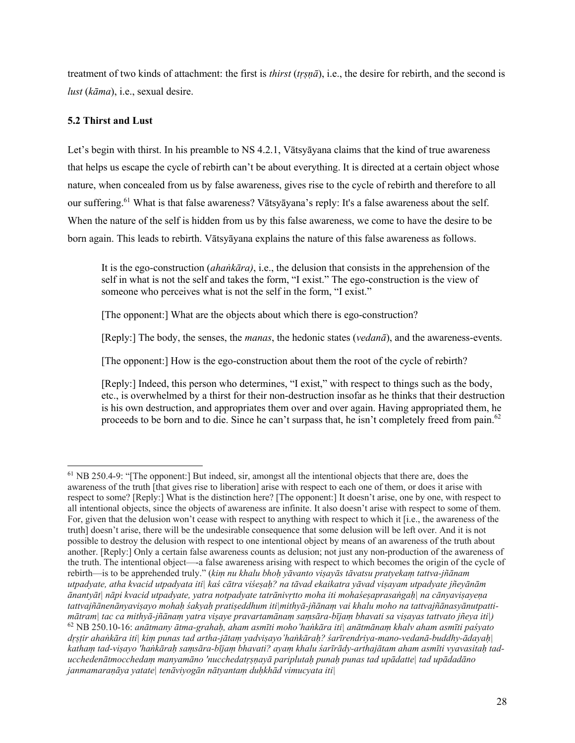treatment of two kinds of attachment: the first is *thirst* (*tṛṣṇā*), i.e., the desire for rebirth, and the second is *lust* (*kāma*), i.e., sexual desire.

# **5.2 Thirst and Lust**

Let's begin with thirst. In his preamble to NS 4.2.1, Vātsyāyana claims that the kind of true awareness that helps us escape the cycle of rebirth can't be about everything. It is directed at a certain object whose nature, when concealed from us by false awareness, gives rise to the cycle of rebirth and therefore to all our suffering.61 What is that false awareness? Vātsyāyana's reply: It's a false awareness about the self. When the nature of the self is hidden from us by this false awareness, we come to have the desire to be born again. This leads to rebirth. Vātsyāyana explains the nature of this false awareness as follows.

It is the ego-construction (*ahaṅkāra)*, i.e., the delusion that consists in the apprehension of the self in what is not the self and takes the form, "I exist." The ego-construction is the view of someone who perceives what is not the self in the form, "I exist."

[The opponent:] What are the objects about which there is ego-construction?

[Reply:] The body, the senses, the *manas*, the hedonic states (*vedanā*), and the awareness-events.

[The opponent:] How is the ego-construction about them the root of the cycle of rebirth?

[Reply:] Indeed, this person who determines, "I exist," with respect to things such as the body, etc., is overwhelmed by a thirst for their non-destruction insofar as he thinks that their destruction is his own destruction, and appropriates them over and over again. Having appropriated them, he proceeds to be born and to die. Since he can't surpass that, he isn't completely freed from pain.<sup>62</sup>

 $61$  NB 250.4-9: "[The opponent:] But indeed, sir, amongst all the intentional objects that there are, does the awareness of the truth [that gives rise to liberation] arise with respect to each one of them, or does it arise with respect to some? [Reply:] What is the distinction here? [The opponent:] It doesn't arise, one by one, with respect to all intentional objects, since the objects of awareness are infinite. It also doesn't arise with respect to some of them. For, given that the delusion won't cease with respect to anything with respect to which it [i.e., the awareness of the truth] doesn't arise, there will be the undesirable consequence that some delusion will be left over. And it is not possible to destroy the delusion with respect to one intentional object by means of an awareness of the truth about another. [Reply:] Only a certain false awareness counts as delusion; not just any non-production of the awareness of the truth. The intentional object—-a false awareness arising with respect to which becomes the origin of the cycle of rebirth—is to be apprehended truly." (*kiṃ nu khalu bhoḥ yāvanto viṣayās tāvatsu pratyekaṃ tattva-jñānam utpadyate, atha kvacid utpadyata iti| kaś cātra viśeṣaḥ? na tāvad ekaikatra yāvad viṣayam utpadyate jñeyānām ānantyāt| nāpi kvacid utpadyate, yatra notpadyate tatrānivṛtto moha iti mohaśeṣaprasaṅgaḥ| na cānyaviṣayeṇa tattvajñānenānyaviṣayo mohaḥ śakyaḥ pratiṣeddhum iti|mithyā-jñānaṃ vai khalu moho na tattvajñānasyānutpattimātram| tac ca mithyā-jñānaṃ yatra viṣaye pravartamānaṃ saṃsāra-bījaṃ bhavati sa viṣayas tattvato jñeya iti|)* <sup>62</sup> NB 250.10-16: *anātmany ātma-grahaḥ, aham asmīti moho'haṅkāra iti| anātmānaṃ khalv aham asmīti paśyato dṛṣṭir ahaṅkāra iti| kiṃ punas tad artha-jātaṃ yadviṣayo'haṅkāraḥ? śarīrendriya-mano-vedanā-buddhy-ādayaḥ| kathaṃ tad-viṣayo 'haṅkāraḥ saṃsāra-bījaṃ bhavati? ayaṃ khalu śarīrādy-arthajātam aham asmīti vyavasitaḥ taducchedenātmocchedaṃ manyamāno 'nucchedatṛṣṇayā pariplutaḥ punaḥ punas tad upādatte| tad upādadāno janmamaraṇāya yatate| tenāviyogān nātyantaṃ duḥkhād vimucyata iti|*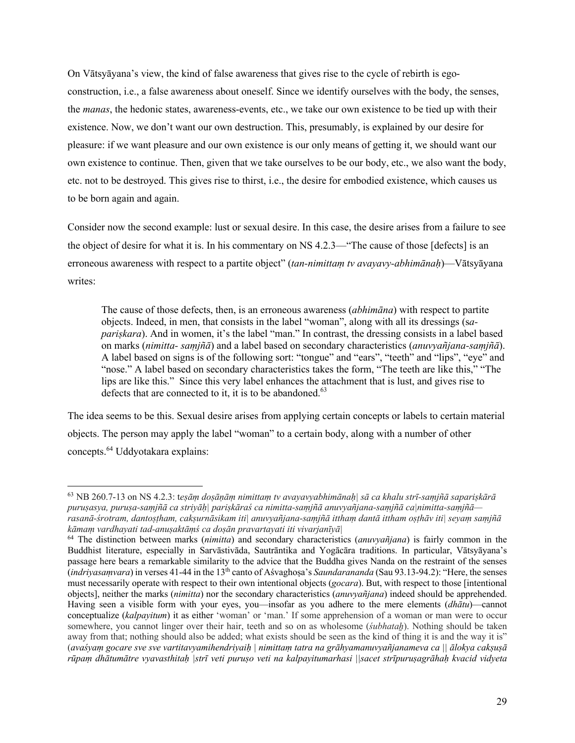On Vātsyāyana's view, the kind of false awareness that gives rise to the cycle of rebirth is egoconstruction, i.e., a false awareness about oneself. Since we identify ourselves with the body, the senses, the *manas*, the hedonic states, awareness-events, etc., we take our own existence to be tied up with their existence. Now, we don't want our own destruction. This, presumably, is explained by our desire for pleasure: if we want pleasure and our own existence is our only means of getting it, we should want our own existence to continue. Then, given that we take ourselves to be our body, etc., we also want the body, etc. not to be destroyed. This gives rise to thirst, i.e., the desire for embodied existence, which causes us to be born again and again.

Consider now the second example: lust or sexual desire. In this case, the desire arises from a failure to see the object of desire for what it is. In his commentary on NS 4.2.3—"The cause of those [defects] is an erroneous awareness with respect to a partite object" (*tan-nimittaṃ tv avayavy-abhimānaḥ*)—Vātsyāyana writes:

The cause of those defects, then, is an erroneous awareness (*abhimāna*) with respect to partite objects. Indeed, in men, that consists in the label "woman", along with all its dressings (s*apariṣkara*). And in women, it's the label "man." In contrast, the dressing consists in a label based on marks (*nimitta- saṃjñā*) and a label based on secondary characteristics (*anuvyañjana-saṃjñā*). A label based on signs is of the following sort: "tongue" and "ears", "teeth" and "lips", "eye" and "nose." A label based on secondary characteristics takes the form, "The teeth are like this," "The lips are like this." Since this very label enhances the attachment that is lust, and gives rise to defects that are connected to it, it is to be abandoned.<sup>63</sup>

The idea seems to be this. Sexual desire arises from applying certain concepts or labels to certain material objects. The person may apply the label "woman" to a certain body, along with a number of other concepts.<sup>64</sup> Uddyotakara explains:

<sup>63</sup> NB 260.7-13 on NS 4.2.3: t*eṣāṃ doṣāṇāṃ nimittaṃ tv avayavyabhimānaḥ| sā ca khalu strī-saṃjñā sapariṣkārā puruṣasya, puruṣa-saṃjñā ca striyāḥ| pariṣkāraś ca nimitta-saṃjñā anuvyañjana-saṃjñā ca|nimitta-saṃjñā rasanā-śrotram, dantoṣṭham, cakṣurnāsikam iti| anuvyañjana-saṃjñā itthaṃ dantā ittham oṣṭhāv iti| seyaṃ saṃjñā kāmaṃ vardhayati tad-anuṣaktāṃś ca doṣān pravartayati iti vivarjanīyā|* 

<sup>64</sup> The distinction between marks (*nimitta*) and secondary characteristics (*anuvyañjana*) is fairly common in the Buddhist literature, especially in Sarvāstivāda, Sautrāntika and Yogācāra traditions. In particular, Vātsyāyana's passage here bears a remarkable similarity to the advice that the Buddha gives Nanda on the restraint of the senses (*indriyasaṃvara*) in verses 41-44 in the 13th canto of Aśvaghoṣa's *Saundarananda* (Sau 93.13-94.2): "Here, the senses must necessarily operate with respect to their own intentional objects (*gocara*). But, with respect to those [intentional objects], neither the marks (*nimitta*) nor the secondary characteristics (*anuvyañjana*) indeed should be apprehended. Having seen a visible form with your eyes, you—insofar as you adhere to the mere elements (*dhātu*)—cannot conceptualize (*kalpayitum*) it as either 'woman' or 'man.' If some apprehension of a woman or man were to occur somewhere, you cannot linger over their hair, teeth and so on as wholesome *(subhatah)*. Nothing should be taken away from that; nothing should also be added; what exists should be seen as the kind of thing it is and the way it is" (*avaśyaṃ gocare sve sve vartitavyamihendriyaiḥ | nimittaṃ tatra na grāhyamanuvyañjanameva ca || ālokya cakṣuṣā rūpaṃ dhātumātre vyavasthitaḥ |strī veti puruṣo veti na kalpayitumarhasi ||sacet strīpuruṣagrāhaḥ kvacid vidyeta*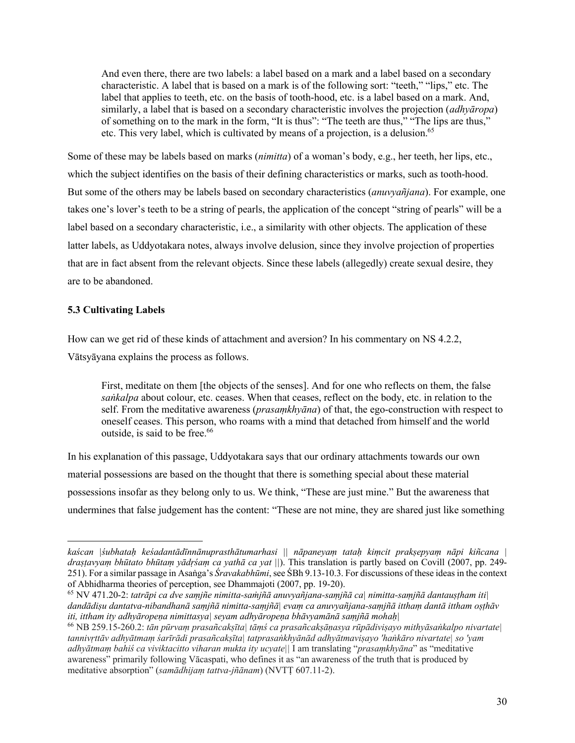And even there, there are two labels: a label based on a mark and a label based on a secondary characteristic. A label that is based on a mark is of the following sort: "teeth," "lips," etc. The label that applies to teeth, etc. on the basis of tooth-hood, etc. is a label based on a mark. And, similarly, a label that is based on a secondary characteristic involves the projection (*adhyāropa*) of something on to the mark in the form, "It is thus": "The teeth are thus," "The lips are thus," etc. This very label, which is cultivated by means of a projection, is a delusion.<sup>65</sup>

Some of these may be labels based on marks (*nimitta*) of a woman's body, e.g., her teeth, her lips, etc., which the subject identifies on the basis of their defining characteristics or marks, such as tooth-hood. But some of the others may be labels based on secondary characteristics (*anuvyañjana*). For example, one takes one's lover's teeth to be a string of pearls, the application of the concept "string of pearls" will be a label based on a secondary characteristic, i.e., a similarity with other objects. The application of these latter labels, as Uddyotakara notes, always involve delusion, since they involve projection of properties that are in fact absent from the relevant objects. Since these labels (allegedly) create sexual desire, they are to be abandoned.

# **5.3 Cultivating Labels**

How can we get rid of these kinds of attachment and aversion? In his commentary on NS 4.2.2, Vātsyāyana explains the process as follows.

First, meditate on them [the objects of the senses]. And for one who reflects on them, the false *saṅkalpa* about colour, etc. ceases. When that ceases, reflect on the body, etc. in relation to the self. From the meditative awareness (*prasaṃkhyāna*) of that, the ego-construction with respect to oneself ceases. This person, who roams with a mind that detached from himself and the world outside, is said to be free.<sup>66</sup>

In his explanation of this passage, Uddyotakara says that our ordinary attachments towards our own material possessions are based on the thought that there is something special about these material possessions insofar as they belong only to us. We think, "These are just mine." But the awareness that undermines that false judgement has the content: "These are not mine, they are shared just like something

*kaścan |śubhataḥ keśadantādīnnānuprasthātumarhasi || nāpaneyaṃ tataḥ kiṃcit prakṣepyaṃ nāpi kiñcana | draṣṭavyaṃ bhūtato bhūtaṃ yādṛśaṃ ca yathā ca yat ||*). This translation is partly based on Covill (2007, pp. 249- 251). For a similar passage in Asaṅga's *Śravakabhūmi*, see ŚBh 9.13-10.3. For discussions of these ideas in the context of Abhidharma theories of perception, see Dhammajoti (2007, pp. 19-20).<br><sup>65</sup> NV 471.20-2: *tatrāpi ca dve samjñe nimitta-saṁjñā anuvyañjana-samjñā ca| nimitta-samjñā dantaustham iti|* 

*dandādiṣu dantatva-nibandhanā saṃjñā nimitta-saṃjñā| evaṃ ca anuvyañjana-saṃjñā itthaṃ dantā ittham oṣṭhāv iti, ittham ity adhyāropeṇa nimittasya| seyam adhyāropeṇa bhāvyamānā saṃjñā mohaḥ|*

<sup>66</sup> NB 259.15-260.2: *tān pūrvaṃ prasañcakṣīta| tāṃś ca prasañcakṣāṇasya rūpādiviṣayo mithyāsaṅkalpo nivartate| tannivṛttāv adhyātmaṃ śarīrādi prasañcakṣīta| tatprasaṅkhyānād adhyātmaviṣayo 'haṅkāro nivartate| so 'yam adhyātmaṃ bahiś ca viviktacitto viharan mukta ity ucyate||* I am translating "*prasaṃkhyāna*" as "meditative awareness" primarily following Vācaspati, who defines it as "an awareness of the truth that is produced by meditative absorption" (*samādhijaṃ tattva-jñānam*) (NVTṬ 607.11-2).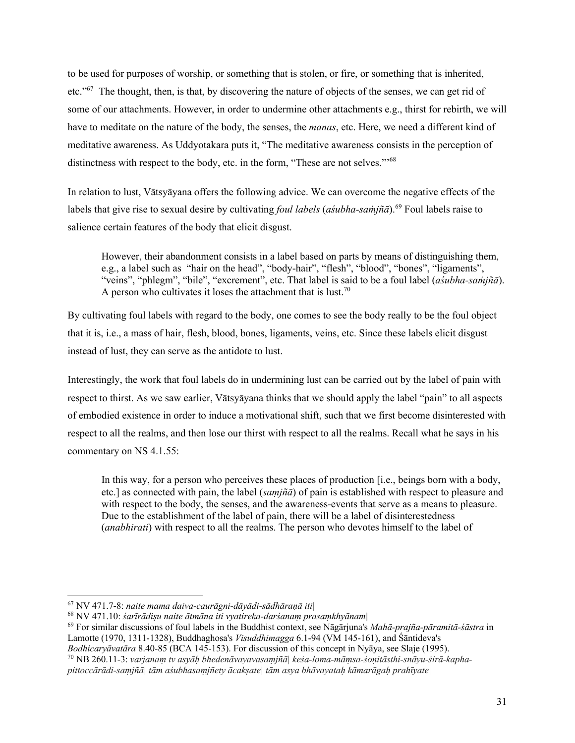to be used for purposes of worship, or something that is stolen, or fire, or something that is inherited, etc."67 The thought, then, is that, by discovering the nature of objects of the senses, we can get rid of some of our attachments. However, in order to undermine other attachments e.g., thirst for rebirth, we will have to meditate on the nature of the body, the senses, the *manas*, etc. Here, we need a different kind of meditative awareness. As Uddyotakara puts it, "The meditative awareness consists in the perception of distinctness with respect to the body, etc. in the form, "These are not selves."<sup>568</sup>

In relation to lust, Vātsyāyana offers the following advice. We can overcome the negative effects of the labels that give rise to sexual desire by cultivating *foul labels* (*aśubha-saṁjñā*).<sup>69</sup> Foul labels raise to salience certain features of the body that elicit disgust.

However, their abandonment consists in a label based on parts by means of distinguishing them, e.g., a label such as "hair on the head", "body-hair", "flesh", "blood", "bones", "ligaments", "veins", "phlegm", "bile", "excrement", etc. That label is said to be a foul label (*aśubha-saṁjñā*). A person who cultivates it loses the attachment that is lust.<sup>70</sup>

By cultivating foul labels with regard to the body, one comes to see the body really to be the foul object that it is, i.e., a mass of hair, flesh, blood, bones, ligaments, veins, etc. Since these labels elicit disgust instead of lust, they can serve as the antidote to lust.

Interestingly, the work that foul labels do in undermining lust can be carried out by the label of pain with respect to thirst. As we saw earlier, Vātsyāyana thinks that we should apply the label "pain" to all aspects of embodied existence in order to induce a motivational shift, such that we first become disinterested with respect to all the realms, and then lose our thirst with respect to all the realms. Recall what he says in his commentary on NS 4.1.55:

In this way, for a person who perceives these places of production [i.e., beings born with a body, etc.] as connected with pain, the label (*saṃjñā*) of pain is established with respect to pleasure and with respect to the body, the senses, and the awareness-events that serve as a means to pleasure. Due to the establishment of the label of pain, there will be a label of disinterestedness (*anabhirati*) with respect to all the realms. The person who devotes himself to the label of

<sup>67</sup> NV 471.7-8: *naite mama daiva-caurāgni-dāyādi-sādhāraṇā iti|*

<sup>68</sup> NV 471.10: *śarīrādiṣu naite ātmāna iti vyatireka-darśanaṃ prasaṃkhyānam|*

<sup>69</sup> For similar discussions of foul labels in the Buddhist context, see Nāgārjuna's *Mahā-prajña-pāramitā-śāstra* in Lamotte (1970, 1311-1328), Buddhaghosa's *Visuddhimagga* 6.1-94 (VM 145-161), and Śāntideva's

*Bodhicaryāvatāra 8.40-85 (BCA 145-153). For discussion of this concept in Nyāya, see Slaje (1995).*<br><sup>70</sup> NB 260.11-3: *varjanam tv asyāh bhedenāvayavasamjñā| keśa-loma-māmsa-śonitāsthi-snāyu-śirā-kapha-*

*pittoccārādi-saṃjñā| tām aśubhasaṃjñety ācakṣate| tām asya bhāvayataḥ kāmarāgaḥ prahīyate|*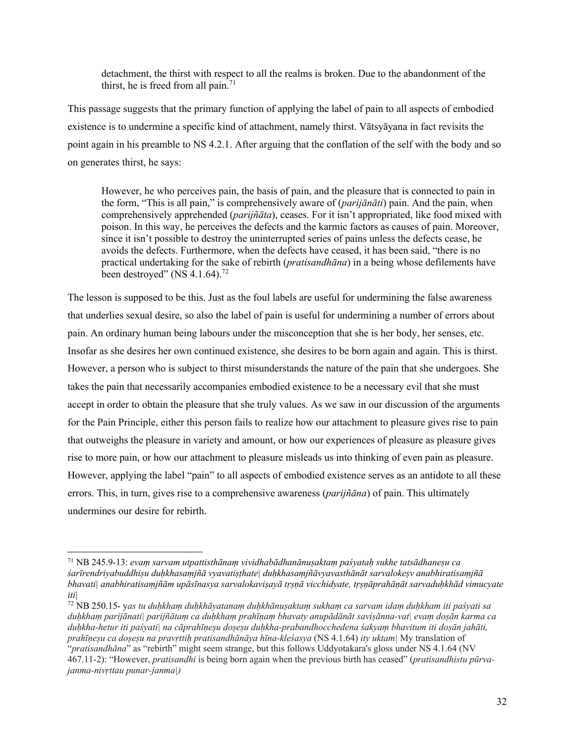detachment, the thirst with respect to all the realms is broken. Due to the abandonment of the thirst, he is freed from all pain.<sup>71</sup>

This passage suggests that the primary function of applying the label of pain to all aspects of embodied existence is to undermine a specific kind of attachment, namely thirst. Vātsyāyana in fact revisits the point again in his preamble to NS 4.2.1. After arguing that the conflation of the self with the body and so on generates thirst, he says:

However, he who perceives pain, the basis of pain, and the pleasure that is connected to pain in the form, "This is all pain," is comprehensively aware of (*parijānāti*) pain. And the pain, when comprehensively apprehended (*parijñāta*), ceases. For it isn't appropriated, like food mixed with poison. In this way, he perceives the defects and the karmic factors as causes of pain. Moreover, since it isn't possible to destroy the uninterrupted series of pains unless the defects cease, he avoids the defects. Furthermore, when the defects have ceased, it has been said, "there is no practical undertaking for the sake of rebirth (*pratisandhāna*) in a being whose defilements have been destroyed" (NS 4.1.64).<sup>72</sup>

The lesson is supposed to be this. Just as the foul labels are useful for undermining the false awareness that underlies sexual desire, so also the label of pain is useful for undermining a number of errors about pain. An ordinary human being labours under the misconception that she is her body, her senses, etc. Insofar as she desires her own continued existence, she desires to be born again and again. This is thirst. However, a person who is subject to thirst misunderstands the nature of the pain that she undergoes. She takes the pain that necessarily accompanies embodied existence to be a necessary evil that she must accept in order to obtain the pleasure that she truly values. As we saw in our discussion of the arguments for the Pain Principle, either this person fails to realize how our attachment to pleasure gives rise to pain that outweighs the pleasure in variety and amount, or how our experiences of pleasure as pleasure gives rise to more pain, or how our attachment to pleasure misleads us into thinking of even pain as pleasure. However, applying the label "pain" to all aspects of embodied existence serves as an antidote to all these errors. This, in turn, gives rise to a comprehensive awareness (*parijñāna*) of pain. This ultimately undermines our desire for rebirth.

<sup>71</sup> NB 245.9-13: *evaṃ sarvam utpattisthānaṃ vividhabādhanānuṣaktaṃ paśyataḥ sukhe tatsādhaneṣu ca śarīrendriyabuddhiṣu duḥkhasaṃjñā vyavatiṣṭhate| duḥkhasaṃjñāvyavasthānāt sarvalokeṣv anabhiratisaṃjñā bhavati| anabhiratisaṃjñām upāsīnasya sarvalokaviṣayā tṛṣṇā vicchidyate, tṛṣṇāprahāṇāt sarvaduḥkhād vimucyate iti|* 

<sup>72</sup> NB 250.15- y*as tu duḥkhaṃ duḥkhāyatanaṃ duḥkhānuṣaktaṃ sukhaṃ ca sarvam idaṃ duḥkham iti paśyati sa duḥkhaṃ parijānati| parijñātaṃ ca duḥkhaṃ prahīṇaṃ bhavaty anupādānāt saviṣānna-vat| evaṃ doṣān karma ca duḥkha-hetur iti paśyati| na cāprahīṇeṣu doṣeṣu duḥkha-prabandhocchedena śakyaṃ bhavitum iti doṣān jahāti, prahīṇeṣu ca doṣeṣu na pravṛttiḥ pratisandhānāya hīna-kleśasya* (NS 4.1.64) *ity uktam|* My translation of "*pratisandhāna*" as "rebirth" might seem strange, but this follows Uddyotakara's gloss under NS 4.1.64 (NV 467.11-2): "However, *pratisandhi* is being born again when the previous birth has ceased" (*pratisandhistu pūrvajanma-nivṛttau punar-janma|)*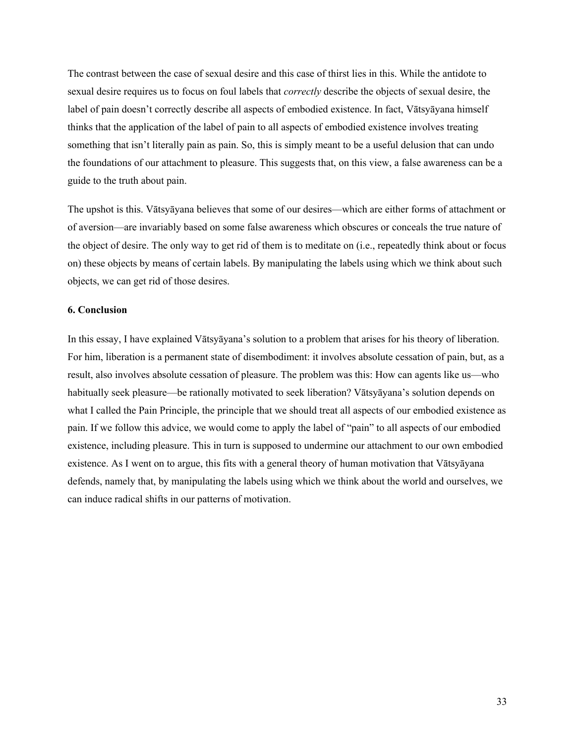The contrast between the case of sexual desire and this case of thirst lies in this. While the antidote to sexual desire requires us to focus on foul labels that *correctly* describe the objects of sexual desire, the label of pain doesn't correctly describe all aspects of embodied existence. In fact, Vātsyāyana himself thinks that the application of the label of pain to all aspects of embodied existence involves treating something that isn't literally pain as pain. So, this is simply meant to be a useful delusion that can undo the foundations of our attachment to pleasure. This suggests that, on this view, a false awareness can be a guide to the truth about pain.

The upshot is this. Vātsyāyana believes that some of our desires—which are either forms of attachment or of aversion—are invariably based on some false awareness which obscures or conceals the true nature of the object of desire. The only way to get rid of them is to meditate on (i.e., repeatedly think about or focus on) these objects by means of certain labels. By manipulating the labels using which we think about such objects, we can get rid of those desires.

### **6. Conclusion**

In this essay, I have explained Vātsyāyana's solution to a problem that arises for his theory of liberation. For him, liberation is a permanent state of disembodiment: it involves absolute cessation of pain, but, as a result, also involves absolute cessation of pleasure. The problem was this: How can agents like us—who habitually seek pleasure—be rationally motivated to seek liberation? Vātsyāyana's solution depends on what I called the Pain Principle, the principle that we should treat all aspects of our embodied existence as pain. If we follow this advice, we would come to apply the label of "pain" to all aspects of our embodied existence, including pleasure. This in turn is supposed to undermine our attachment to our own embodied existence. As I went on to argue, this fits with a general theory of human motivation that Vātsyāyana defends, namely that, by manipulating the labels using which we think about the world and ourselves, we can induce radical shifts in our patterns of motivation.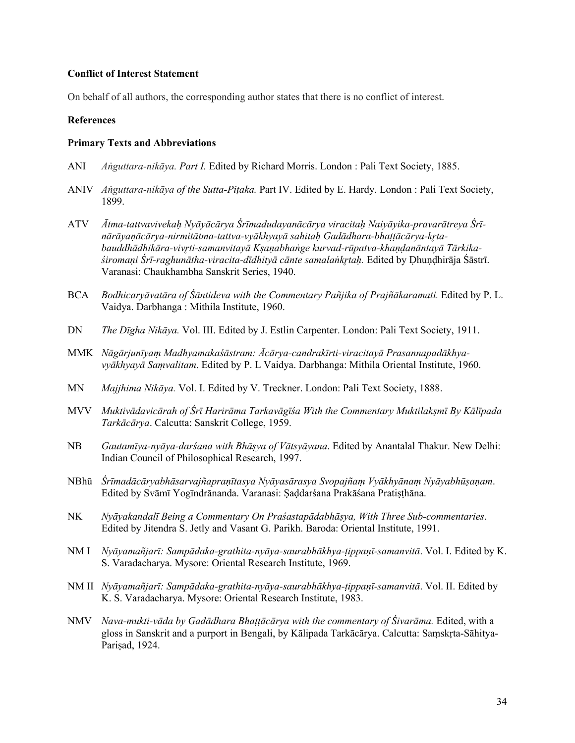## **Conflict of Interest Statement**

On behalf of all authors, the corresponding author states that there is no conflict of interest.

# **References**

#### **Primary Texts and Abbreviations**

- ANI *Aṅguttara-nikāya. Part I.* Edited by Richard Morris. London : Pali Text Society, 1885.
- ANIV *Aṅguttara-nikāya of the Sutta-Piṭaka.* Part IV. Edited by E. Hardy. London : Pali Text Society, 1899.
- ATV *Ātma-tattvavivekaḥ Nyāyācārya Śrīmadudayanācārya viracitaḥ Naiyāyika-pravarātreya Śrīnārāyaṇācārya-nirmitātma-tattva-vyākhyayā sahitaḥ Gadādhara-bhaṭṭācārya-kr̥tabauddhādhikāra-vivr̥ti-samanvitayā Kṣaṇabhaṅge kurvad-rūpatva-khaṇḍanāntayā Tārkikaśiromaṇi Śrī-raghunātha-viracita-dīdhityā cānte samalaṅkr̥taḥ.* Edited by Ḍhuṇḍhirāja Śāstrī. Varanasi: Chaukhambha Sanskrit Series, 1940.
- BCA *Bodhicaryāvatāra of Śāntideva with the Commentary Pañjika of Prajñākaramati*. Edited by P. L. Vaidya. Darbhanga : Mithila Institute, 1960.
- DN *The Dīgha Nikāya.* Vol. III. Edited by J. Estlin Carpenter. London: Pali Text Society, 1911.
- MMK *Nāgārjunīyaṃ Madhyamakaśāstram: Ācārya-candrakīrti-viracitayā Prasannapadākhyavyākhyayā Saṃvalitam*. Edited by P. L Vaidya. Darbhanga: Mithila Oriental Institute, 1960.
- MN *Majjhima Nikāya.* Vol. I. Edited by V. Treckner. London: Pali Text Society, 1888.
- MVV *Muktivādavicārah of Śrī Harirāma Tarkavāgīśa With the Commentary Muktilakṣmī By Kālīpada Tarkācārya*. Calcutta: Sanskrit College, 1959.
- NB *Gautamīya-nyāya-darśana with Bhāṣya of Vātsyāyana*. Edited by Anantalal Thakur. New Delhi: Indian Council of Philosophical Research, 1997.
- NBhū *Śrīmadācāryabhāsarvajñapraṇītasya Nyāyasārasya Svopajñaṃ Vyākhyānaṃ Nyāyabhūṣaṇam*. Edited by Svāmī Yogīndrānanda. Varanasi: Ṣaḍdarśana Prakāśana Pratiṣṭhāna.
- NK *Nyāyakandalī Being a Commentary On Praśastapādabhāṣya, With Three Sub-commentaries*. Edited by Jitendra S. Jetly and Vasant G. Parikh. Baroda: Oriental Institute, 1991.
- NM I *Nyāyamañjarī: Sampādaka-grathita-nyāya-saurabhākhya-ṭippaṇī-samanvitā*. Vol. I. Edited by K. S. Varadacharya. Mysore: Oriental Research Institute, 1969.
- NM II *Nyāyamañjarī: Sampādaka-grathita-nyāya-saurabhākhya-ṭippaṇī-samanvitā*. Vol. II. Edited by K. S. Varadacharya. Mysore: Oriental Research Institute, 1983.
- NMV *Nava-mukti-vāda by Gadādhara Bhaṭṭācārya with the commentary of Śivarāma.* Edited, with a gloss in Sanskrit and a purport in Bengali, by Kālipada Tarkācārya. Calcutta: Saṃskṛta-Sāhitya-Pariṣad, 1924.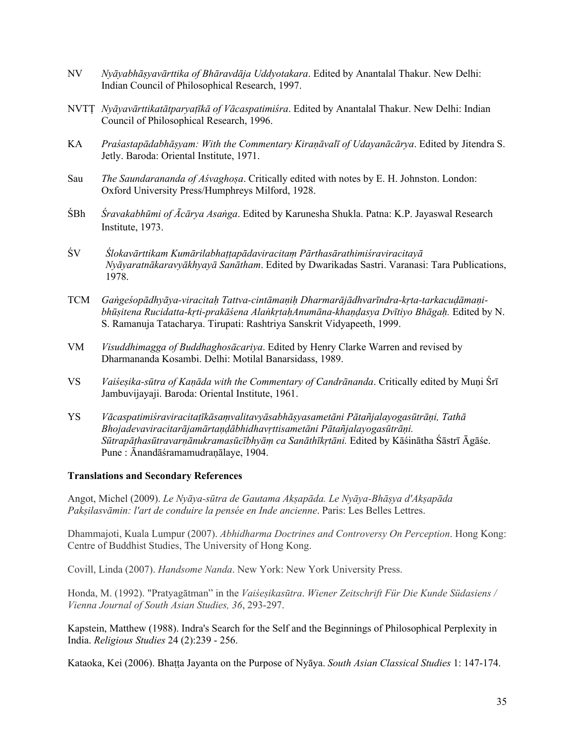- NV *Nyāyabhāṣyavārttika of Bhāravdāja Uddyotakara*. Edited by Anantalal Thakur. New Delhi: Indian Council of Philosophical Research, 1997.
- NVTṬ *Nyāyavārttikatātparyaṭīkā of Vācaspatimiśra*. Edited by Anantalal Thakur. New Delhi: Indian Council of Philosophical Research, 1996.
- KA *Praśastapādabhāṣyam: With the Commentary Kiraṇāvalī of Udayanācārya*. Edited by Jitendra S. Jetly. Baroda: Oriental Institute, 1971.
- Sau *The Saundarananda of Aśvaghoṣa*. Critically edited with notes by E. H. Johnston. London: Oxford University Press/Humphreys Milford, 1928.
- ŚBh *Śravakabhūmi of Ācārya Asaṅga*. Edited by Karunesha Shukla. Patna: K.P. Jayaswal Research Institute, 1973.
- ŚV *Ślokavārttikam Kumārilabhaṭṭapādaviracitaṃ Pārthasārathimiśraviracitayā Nyāyaratnākaravyākhyayā Sanātham*. Edited by Dwarikadas Sastri. Varanasi: Tara Publications, 1978.
- TCM *Gaṅgeśopādhyāya-viracitaḥ Tattva-cintāmaṇiḥ Dharmarājādhvarīndra-kṛta-tarkacuḍāmaṇibhūṣitena Rucidatta-kṛti-prakāśena AlaṅkṛtaḥAnumāna-khaṇḍasya Dvītiyo Bhāgaḥ.* Edited by N. S. Ramanuja Tatacharya. Tirupati: Rashtriya Sanskrit Vidyapeeth, 1999.
- VM *Visuddhimagga of Buddhaghosācariya*. Edited by Henry Clarke Warren and revised by Dharmananda Kosambi. Delhi: Motilal Banarsidass, 1989.
- VS *Vaiśeṣika-sūtra of Kaṇāda with the Commentary of Candrānanda*. Critically edited by Muṇi Śrī Jambuvijayaji. Baroda: Oriental Institute, 1961.
- YS *Vācaspatimiśraviracitaṭīkāsaṃvalitavyāsabhāṣyasametāni Pātañjalayogasūtrāṇi, Tathā Bhojadevaviracitarājamārtaṇḍābhidhavṛttisametāni Pātañjalayogasūtrāṇi. Sūtrapāṭhasūtravarṇānukramasūcībhyāṃ ca Sanāthīkṛtāni.* Edited by Kāśinātha Śāstrī Āgāśe. Pune : Ānandāśramamudraṇālaye, 1904.

#### **Translations and Secondary References**

Angot, Michel (2009). *Le Nyāya-sūtra de Gautama Akṣapāda. Le Nyāya-Bhāṣya d'Akṣapāda Pakṣilasvāmin: l'art de conduire la pensée en Inde ancienne*. Paris: Les Belles Lettres.

Dhammajoti, Kuala Lumpur (2007). *Abhidharma Doctrines and Controversy On Perception*. Hong Kong: Centre of Buddhist Studies, The University of Hong Kong.

Covill, Linda (2007). *Handsome Nanda*. New York: New York University Press.

Honda, M. (1992). "Pratyagātman" in the *Vaiśeṣikasūtra*. *Wiener Zeitschrift Für Die Kunde Südasiens / Vienna Journal of South Asian Studies, 36*, 293-297.

Kapstein, Matthew (1988). Indra's Search for the Self and the Beginnings of Philosophical Perplexity in India. *Religious Studies* 24 (2):239 - 256.

Kataoka, Kei (2006). Bhaṭṭa Jayanta on the Purpose of Nyāya. *South Asian Classical Studies* 1: 147-174.